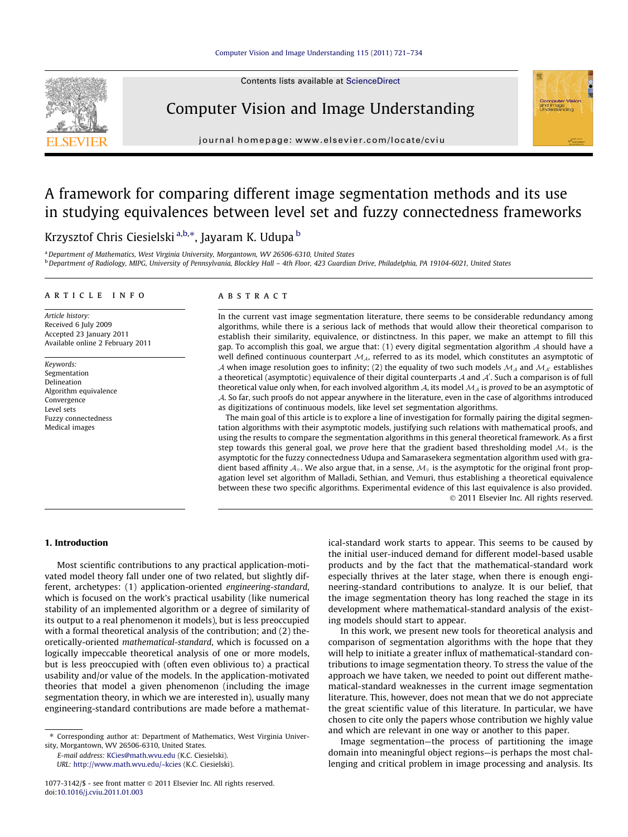



# Computer Vision and Image Understanding



journal homepage: [www.elsevier.com/locate/cviu](http://www.elsevier.com/locate/cviu)

# A framework for comparing different image segmentation methods and its use in studying equivalences between level set and fuzzy connectedness frameworks

Krzysztof Chris Ciesielski <sup>a,b,</sup>\*, Jayaram K. Udupa <sup>b</sup>

a Department of Mathematics, West Virginia University, Morgantown, WV 26506-6310, United States <sup>b</sup> Department of Radiology, MIPG, University of Pennsylvania, Blockley Hall - 4th Floor, 423 Guardian Drive, Philadelphia, PA 19104-6021, United States

## article info

Article history: Received 6 July 2009 Accepted 23 January 2011 Available online 2 February 2011

Keywords: Segmentation Delineation Algorithm equivalence Convergence Level sets Fuzzy connectedness Medical images

### ABSTRACT

In the current vast image segmentation literature, there seems to be considerable redundancy among algorithms, while there is a serious lack of methods that would allow their theoretical comparison to establish their similarity, equivalence, or distinctness. In this paper, we make an attempt to fill this gap. To accomplish this goal, we argue that:  $(1)$  every digital segmentation algorithm  $A$  should have a well defined continuous counterpart  $M_A$ , referred to as its model, which constitutes an asymptotic of A when image resolution goes to infinity; (2) the equality of two such models  $M_A$  and  $M_{A'}$  establishes a theoretical (asymptotic) equivalence of their digital counterparts  $A$  and  $A'$ . Such a comparison is of full theoretical value only when, for each involved algorithm  $A$ , its model  $M_A$  is proved to be an asymptotic of A. So far, such proofs do not appear anywhere in the literature, even in the case of algorithms introduced as digitizations of continuous models, like level set segmentation algorithms.

The main goal of this article is to explore a line of investigation for formally pairing the digital segmentation algorithms with their asymptotic models, justifying such relations with mathematical proofs, and using the results to compare the segmentation algorithms in this general theoretical framework. As a first step towards this general goal, we prove here that the gradient based thresholding model  $M_{\nu}$  is the asymptotic for the fuzzy connectedness Udupa and Samarasekera segmentation algorithm used with gradient based affinity  $A_{\nabla}$ . We also argue that, in a sense,  $M_{\nabla}$  is the asymptotic for the original front propagation level set algorithm of Malladi, Sethian, and Vemuri, thus establishing a theoretical equivalence between these two specific algorithms. Experimental evidence of this last equivalence is also provided. - 2011 Elsevier Inc. All rights reserved.

## 1. Introduction

Most scientific contributions to any practical application-motivated model theory fall under one of two related, but slightly different, archetypes: (1) application-oriented engineering-standard, which is focused on the work's practical usability (like numerical stability of an implemented algorithm or a degree of similarity of its output to a real phenomenon it models), but is less preoccupied with a formal theoretical analysis of the contribution; and (2) theoretically-oriented mathematical-standard, which is focussed on a logically impeccable theoretical analysis of one or more models, but is less preoccupied with (often even oblivious to) a practical usability and/or value of the models. In the application-motivated theories that model a given phenomenon (including the image segmentation theory, in which we are interested in), usually many engineering-standard contributions are made before a mathemat-

E-mail address: [KCies@math.wvu.edu](mailto:KCies@math.wvu.edu) (K.C. Ciesielski). URL: <http://www.math.wvu.edu/~kcies> (K.C. Ciesielski). ical-standard work starts to appear. This seems to be caused by the initial user-induced demand for different model-based usable products and by the fact that the mathematical-standard work especially thrives at the later stage, when there is enough engineering-standard contributions to analyze. It is our belief, that the image segmentation theory has long reached the stage in its development where mathematical-standard analysis of the existing models should start to appear.

In this work, we present new tools for theoretical analysis and comparison of segmentation algorithms with the hope that they will help to initiate a greater influx of mathematical-standard contributions to image segmentation theory. To stress the value of the approach we have taken, we needed to point out different mathematical-standard weaknesses in the current image segmentation literature. This, however, does not mean that we do not appreciate the great scientific value of this literature. In particular, we have chosen to cite only the papers whose contribution we highly value and which are relevant in one way or another to this paper.

Image segmentation—the process of partitioning the image domain into meaningful object regions—is perhaps the most challenging and critical problem in image processing and analysis. Its

<sup>⇑</sup> Corresponding author at: Department of Mathematics, West Virginia University, Morgantown, WV 26506-6310, United States.

<sup>1077-3142/\$ -</sup> see front matter @ 2011 Elsevier Inc. All rights reserved. doi[:10.1016/j.cviu.2011.01.003](http://dx.doi.org/10.1016/j.cviu.2011.01.003)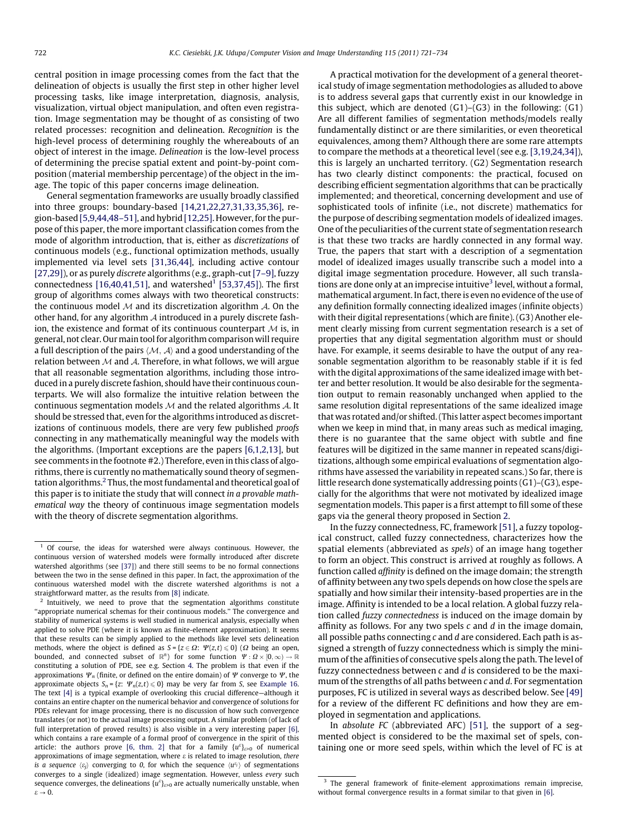central position in image processing comes from the fact that the delineation of objects is usually the first step in other higher level processing tasks, like image interpretation, diagnosis, analysis, visualization, virtual object manipulation, and often even registration. Image segmentation may be thought of as consisting of two related processes: recognition and delineation. Recognition is the high-level process of determining roughly the whereabouts of an object of interest in the image. Delineation is the low-level process of determining the precise spatial extent and point-by-point composition (material membership percentage) of the object in the image. The topic of this paper concerns image delineation.

General segmentation frameworks are usually broadly classified into three groups: boundary-based [\[14,21,22,27,31,33,35,36\]](#page-13-0), region-based [\[5,9,44,48–51\],](#page-12-0) and hybrid [\[12,25\]](#page-13-0). However, for the purpose of this paper, the more important classification comes from the mode of algorithm introduction, that is, either as discretizations of continuous models (e.g., functional optimization methods, usually implemented via level sets [\[31,36,44\]](#page-13-0), including active contour [\[27,29\]\)](#page-13-0), or as purely discrete algorithms (e.g., graph-cut[\[7–9\]](#page-12-0), fuzzy connectedness [\[16,40,41,51\]](#page-13-0), and watershed<sup>1</sup> [\[53,37,45\]](#page-13-0)). The first group of algorithms comes always with two theoretical constructs: the continuous model  $M$  and its discretization algorithm  $A$ . On the other hand, for any algorithm  $A$  introduced in a purely discrete fashion, the existence and format of its continuous counterpart  $M$  is, in general, not clear. Our main tool for algorithm comparison will require a full description of the pairs  $\langle M, A \rangle$  and a good understanding of the relation between  $M$  and  $A$ . Therefore, in what follows, we will argue that all reasonable segmentation algorithms, including those introduced in a purely discrete fashion, should have their continuous counterparts. We will also formalize the intuitive relation between the continuous segmentation models  $M$  and the related algorithms  $A$ . It should be stressed that, even for the algorithms introduced as discretizations of continuous models, there are very few published proofs connecting in any mathematically meaningful way the models with the algorithms. (Important exceptions are the papers [\[6,1,2,13\],](#page-12-0) but see comments in the footnote #2.) Therefore, even in this class of algorithms, there is currently no mathematically sound theory of segmentation algorithms.2 Thus, the most fundamental and theoretical goal of this paper is to initiate the study that will connect in a provable mathematical way the theory of continuous image segmentation models with the theory of discrete segmentation algorithms.

A practical motivation for the development of a general theoretical study of image segmentation methodologies as alluded to above is to address several gaps that currently exist in our knowledge in this subject, which are denoted  $(G1)$ – $(G3)$  in the following:  $(G1)$ Are all different families of segmentation methods/models really fundamentally distinct or are there similarities, or even theoretical equivalences, among them? Although there are some rare attempts to compare the methods at a theoretical level (see e.g. [\[3,19,24,34\]\)](#page-12-0), this is largely an uncharted territory. (G2) Segmentation research has two clearly distinct components: the practical, focused on describing efficient segmentation algorithms that can be practically implemented; and theoretical, concerning development and use of sophisticated tools of infinite (i.e., not discrete) mathematics for the purpose of describing segmentation models of idealized images. One of the peculiarities of the current state of segmentation research is that these two tracks are hardly connected in any formal way. True, the papers that start with a description of a segmentation model of idealized images usually transcribe such a model into a digital image segmentation procedure. However, all such translations are done only at an imprecise intuitive<sup>3</sup> level, without a formal, mathematical argument. In fact, there is even no evidence of the use of any definition formally connecting idealized images (infinite objects) with their digital representations (which are finite). (G3) Another element clearly missing from current segmentation research is a set of properties that any digital segmentation algorithm must or should have. For example, it seems desirable to have the output of any reasonable segmentation algorithm to be reasonably stable if it is fed with the digital approximations of the same idealized image with better and better resolution. It would be also desirable for the segmentation output to remain reasonably unchanged when applied to the same resolution digital representations of the same idealized image that was rotated and/or shifted. (This latter aspect becomes important when we keep in mind that, in many areas such as medical imaging, there is no guarantee that the same object with subtle and fine features will be digitized in the same manner in repeated scans/digitizations, although some empirical evaluations of segmentation algorithms have assessed the variability in repeated scans.) So far, there is little research done systematically addressing points (G1)–(G3), especially for the algorithms that were not motivated by idealized image segmentation models. This paper is a first attempt to fill some of these gaps via the general theory proposed in Section [2](#page-2-0).

In the fuzzy connectedness, FC, framework [\[51\]](#page-13-0), a fuzzy topological construct, called fuzzy connectedness, characterizes how the spatial elements (abbreviated as spels) of an image hang together to form an object. This construct is arrived at roughly as follows. A function called affinity is defined on the image domain; the strength of affinity between any two spels depends on how close the spels are spatially and how similar their intensity-based properties are in the image. Affinity is intended to be a local relation. A global fuzzy relation called fuzzy connectedness is induced on the image domain by affinity as follows. For any two spels  $c$  and  $d$  in the image domain, all possible paths connecting  $c$  and  $d$  are considered. Each path is assigned a strength of fuzzy connectedness which is simply the minimum of the affinities of consecutive spels along the path. The level of fuzzy connectedness between  $c$  and  $d$  is considered to be the maximum of the strengths of all paths between  $c$  and  $d$ . For segmentation purposes, FC is utilized in several ways as described below. See [\[49\]](#page-13-0) for a review of the different FC definitions and how they are employed in segmentation and applications.

In absolute FC (abbreviated AFC) [\[51\]](#page-13-0), the support of a segmented object is considered to be the maximal set of spels, containing one or more seed spels, within which the level of FC is at

<sup>&</sup>lt;sup>1</sup> Of course, the ideas for watershed were always continuous. However, the continuous version of watershed models were formally introduced after discrete watershed algorithms (see [\[37\]](#page-13-0)) and there still seems to be no formal connections between the two in the sense defined in this paper. In fact, the approximation of the continuous watershed model with the discrete watershed algorithms is not a straightforward matter, as the results from [\[8\]](#page-12-0) indicate.

 $2$  Intuitively, we need to prove that the segmentation algorithms constitute ''appropriate numerical schemas for their continuous models.'' The convergence and stability of numerical systems is well studied in numerical analysis, especially when applied to solve PDE (where it is known as finite-element approximation). It seems that these results can be simply applied to the methods like level sets delineation methods, where the object is defined as  $S = \{z \in \Omega: \Psi(z,t) \leq 0\}$  ( $\Omega$  being an open, bounded, and connected subset of  $\mathbb{R}^n$ ) for some function  $\Psi : \Omega \times [0,\infty) \to \mathbb{R}$ constituting a solution of PDE, see e.g. Section [4](#page-5-0). The problem is that even if the approximations  $\Psi_n$  (finite, or defined on the entire domain) of  $\Psi$  converge to  $\Psi$ , the approximate objects  $S_n = \{z: \Psi_n(z,t) \leq 0\}$  may be very far from S, see [Example 16](#page-8-0). The text [\[4\]](#page-12-0) is a typical example of overlooking this crucial difference—although it contains an entire chapter on the numerical behavior and convergence of solutions for PDEs relevant for image processing, there is no discussion of how such convergence translates (or not) to the actual image processing output. A similar problem (of lack of full interpretation of proved results) is also visible in a very interesting paper [\[6\]](#page-12-0), which contains a rare example of a formal proof of convergence in the spirit of this article: the authors prove [\[6, thm. 2\]](#page-12-0) that for a family  $\{u^{\varepsilon}\}_{\varepsilon>0}$  of numerical approximations of image segmentation, where  $\varepsilon$  is related to image resolution, there is a sequence  $\langle \varepsilon_j \rangle$  converging to 0, for which the sequence  $\langle u^{\varepsilon_j} \rangle$  of segmentations converges to a single (idealized) image segmentation. However, unless every such sequence converges, the delineations  $\{u^\varepsilon\}_{\varepsilon>0}$  are actually numerically unstable, when  $\varepsilon \to 0.$ 

<sup>&</sup>lt;sup>3</sup> The general framework of finite-element approximations remain imprecise, without formal convergence results in a format similar to that given in [\[6\]](#page-12-0).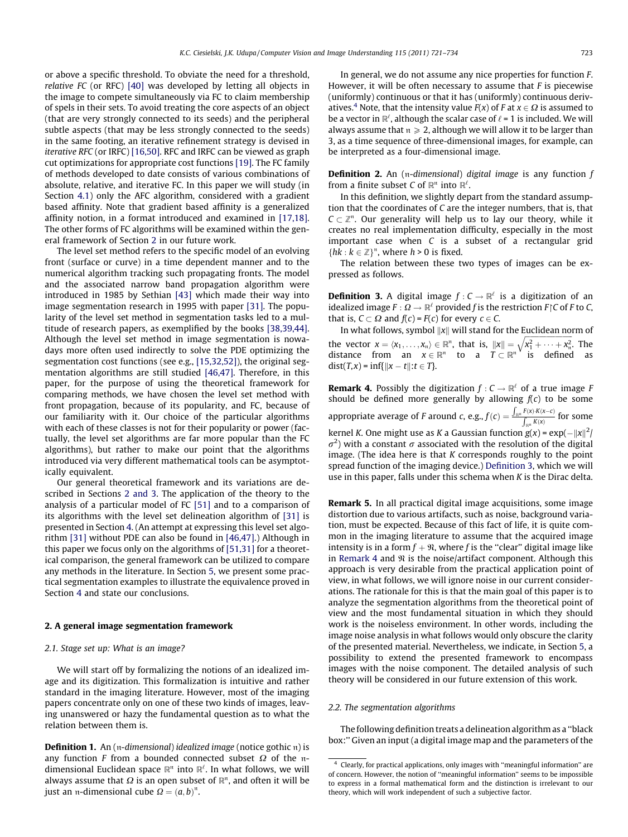<span id="page-2-0"></span>or above a specific threshold. To obviate the need for a threshold, relative FC (or RFC) [\[40\]](#page-13-0) was developed by letting all objects in the image to compete simultaneously via FC to claim membership of spels in their sets. To avoid treating the core aspects of an object (that are very strongly connected to its seeds) and the peripheral subtle aspects (that may be less strongly connected to the seeds) in the same footing, an iterative refinement strategy is devised in iterative RFC (or IRFC) [\[16,50\].](#page-13-0) RFC and IRFC can be viewed as graph cut optimizations for appropriate cost functions [\[19\].](#page-13-0) The FC family of methods developed to date consists of various combinations of absolute, relative, and iterative FC. In this paper we will study (in Section [4.1](#page-6-0)) only the AFC algorithm, considered with a gradient based affinity. Note that gradient based affinity is a generalized affinity notion, in a format introduced and examined in [\[17,18\].](#page-13-0) The other forms of FC algorithms will be examined within the general framework of Section 2 in our future work.

The level set method refers to the specific model of an evolving front (surface or curve) in a time dependent manner and to the numerical algorithm tracking such propagating fronts. The model and the associated narrow band propagation algorithm were introduced in 1985 by Sethian [\[43\]](#page-13-0) which made their way into image segmentation research in 1995 with paper [\[31\].](#page-13-0) The popularity of the level set method in segmentation tasks led to a multitude of research papers, as exemplified by the books [\[38,39,44\].](#page-13-0) Although the level set method in image segmentation is nowadays more often used indirectly to solve the PDE optimizing the segmentation cost functions (see e.g., [\[15,32,52\]\)](#page-13-0), the original segmentation algorithms are still studied [\[46,47\]](#page-13-0). Therefore, in this paper, for the purpose of using the theoretical framework for comparing methods, we have chosen the level set method with front propagation, because of its popularity, and FC, because of our familiarity with it. Our choice of the particular algorithms with each of these classes is not for their popularity or power (factually, the level set algorithms are far more popular than the FC algorithms), but rather to make our point that the algorithms introduced via very different mathematical tools can be asymptotically equivalent.

Our general theoretical framework and its variations are described in Sections 2 and 3. The application of the theory to the analysis of a particular model of FC [\[51\]](#page-13-0) and to a comparison of its algorithms with the level set delineation algorithm of [\[31\]](#page-13-0) is presented in Section [4.](#page-5-0) (An attempt at expressing this level set algorithm [\[31\]](#page-13-0) without PDE can also be found in [\[46,47\]](#page-13-0).) Although in this paper we focus only on the algorithms of [\[51,31\]](#page-13-0) for a theoretical comparison, the general framework can be utilized to compare any methods in the literature. In Section [5,](#page-10-0) we present some practical segmentation examples to illustrate the equivalence proved in Section [4](#page-5-0) and state our conclusions.

#### 2. A general image segmentation framework

### 2.1. Stage set up: What is an image?

We will start off by formalizing the notions of an idealized image and its digitization. This formalization is intuitive and rather standard in the imaging literature. However, most of the imaging papers concentrate only on one of these two kinds of images, leaving unanswered or hazy the fundamental question as to what the relation between them is.

**Definition 1.** An ( $n$ -dimensional) idealized image (notice gothic  $n$ ) is any function F from a bounded connected subset  $\Omega$  of the ndimensional Euclidean space  $\mathbb{R}^n$  into  $\mathbb{R}^{\ell}$ . In what follows, we will always assume that  $\Omega$  is an open subset of  $\mathbb{R}^n$ , and often it will be just an n-dimensional cube  $\Omega = (a, b)^n$ .

In general, we do not assume any nice properties for function F. However, it will be often necessary to assume that  $F$  is piecewise (uniformly) continuous or that it has (uniformly) continuous derivatives.<sup>4</sup> Note, that the intensity value  $F(x)$  of F at  $x \in \Omega$  is assumed to be a vector in  $\mathbb{R}^{\ell}$ , although the scalar case of  $\ell$  = 1 is included. We will always assume that  $n \geq 2$ , although we will allow it to be larger than 3, as a time sequence of three-dimensional images, for example, can be interpreted as a four-dimensional image.

**Definition 2.** An  $(n$ -dimensional) digital image is any function f from a finite subset C of  $\mathbb{R}^n$  into  $\mathbb{R}^{\ell}$ .

In this definition, we slightly depart from the standard assumption that the coordinates of C are the integer numbers, that is, that  $C \subset \mathbb{Z}^n$ . Our generality will help us to lay our theory, while it creates no real implementation difficulty, especially in the most important case when C is a subset of a rectangular grid  $\{hk : k \in \mathbb{Z}\}^n$ , where  $h > 0$  is fixed.

The relation between these two types of images can be expressed as follows.

**Definition 3.** A digital image  $f: C \to \mathbb{R}^{\ell}$  is a digitization of an idealized image  $F: \Omega \to \mathbb{R}^{\ell}$  provided f is the restriction  $F \upharpoonright C$  of F to C, that is,  $C \subset \Omega$  and  $f(c) = F(c)$  for every  $c \in C$ .

In what follows, symbol  $||x||$  will stand for the Euclidean norm of the vector  $x = \langle x_1, ..., x_n \rangle \in \mathbb{R}^n$ , that is,  $||x|| = \sqrt{x_1^2 + \cdots + x_n^2}$  $\sqrt{x_1^2 + \cdots + x_n^2}$ . The distance from an  $x \in \mathbb{R}^n$  to a  $T \subset \mathbb{R}^n$  is defined as dist( $T, x$ ) = inf{ $||x - t||$ : $t \in T$ }.

**Remark 4.** Possibly the digitization  $f: C \to \mathbb{R}^{\ell}$  of a true image F should be defined more generally by allowing  $f(c)$  to be some appropriate average of F around c, e.g.,  $f(c)$  =  $\frac{\int_{\mathbb{R}^n} F(x) \cdot K(x-c)}{\int_{\mathbb{R}^n} K(x)}$  for some kernel K. One might use as K a Gaussian function  $g(x) = \exp(-||x||^2)$  $\sigma^2$ ) with a constant  $\sigma$  associated with the resolution of the digital image. (The idea here is that  $K$  corresponds roughly to the point spread function of the imaging device.) Definition 3, which we will use in this paper, falls under this schema when  $K$  is the Dirac delta.

Remark 5. In all practical digital image acquisitions, some image distortion due to various artifacts, such as noise, background variation, must be expected. Because of this fact of life, it is quite common in the imaging literature to assume that the acquired image intensity is in a form  $f + \mathfrak{N}$ , where f is the "clear" digital image like in Remark 4 and  $\Re$  is the noise/artifact component. Although this approach is very desirable from the practical application point of view, in what follows, we will ignore noise in our current considerations. The rationale for this is that the main goal of this paper is to analyze the segmentation algorithms from the theoretical point of view and the most fundamental situation in which they should work is the noiseless environment. In other words, including the image noise analysis in what follows would only obscure the clarity of the presented material. Nevertheless, we indicate, in Section [5](#page-10-0), a possibility to extend the presented framework to encompass images with the noise component. The detailed analysis of such theory will be considered in our future extension of this work.

### 2.2. The segmentation algorithms

The following definition treats a delineation algorithm as a ''black box:'' Given an input (a digital image map and the parameters of the

 $4$  Clearly, for practical applications, only images with "meaningful information" are of concern. However, the notion of ''meaningful information'' seems to be impossible to express in a formal mathematical form and the distinction is irrelevant to our theory, which will work independent of such a subjective factor.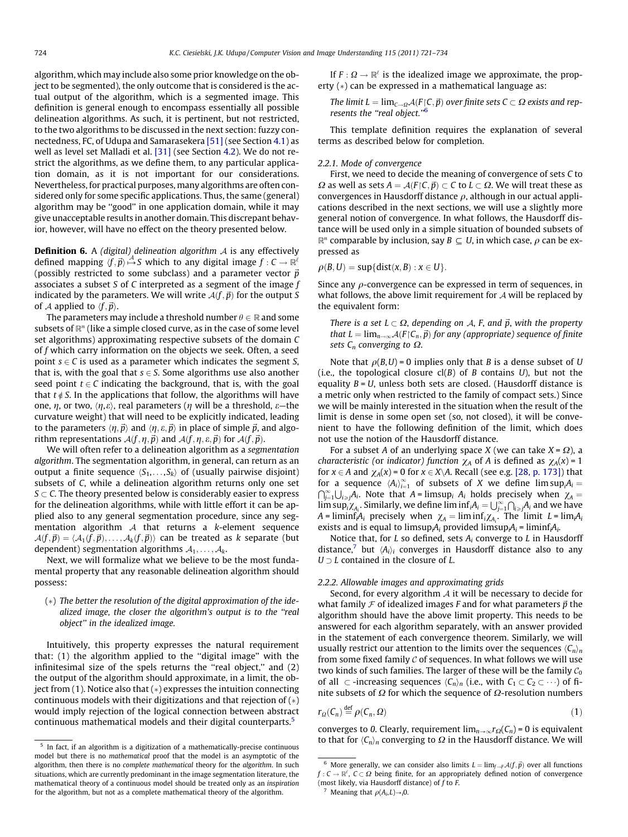<span id="page-3-0"></span>algorithm, which may include also some prior knowledge on the object to be segmented), the only outcome that is considered is the actual output of the algorithm, which is a segmented image. This definition is general enough to encompass essentially all possible delineation algorithms. As such, it is pertinent, but not restricted, to the two algorithms to be discussed in the next section: fuzzy connectedness, FC, of Udupa and Samarasekera [\[51\]](#page-13-0) (see Section [4.1](#page-6-0)) as well as level set Malladi et al. [\[31\]](#page-13-0) (see Section [4.2\)](#page-8-0). We do not restrict the algorithms, as we define them, to any particular application domain, as it is not important for our considerations. Nevertheless, for practical purposes, many algorithms are often considered only for some specific applications. Thus, the same (general) algorithm may be ''good'' in one application domain, while it may give unacceptable results in another domain. This discrepant behavior, however, will have no effect on the theory presented below.

**Definition 6.** A *(digital)* delineation algorithm  $\mathcal A$  is any effectively defined mapping  $\langle f,\vec p\rangle\stackrel{\mathcal A}{\mapsto}S$  which to any digital image  $f:\mathcal C\to\mathbb R^4$ (possibly restricted to some subclass) and a parameter vector  $\vec{p}$ associates a subset S of C interpreted as a segment of the image f indicated by the parameters. We will write  $A(f,\vec{p})$  for the output S of A applied to  $\langle f,\vec{p}\rangle$ .

The parameters may include a threshold number  $\theta \in \mathbb{R}$  and some subsets of  $\mathbb{R}^n$  (like a simple closed curve, as in the case of some level set algorithms) approximating respective subsets of the domain C of  $f$  which carry information on the objects we seek. Often, a seed point  $s \in C$  is used as a parameter which indicates the segment S, that is, with the goal that  $s \in S$ . Some algorithms use also another seed point  $t \in C$  indicating the background, that is, with the goal that  $t \notin S$ . In the applications that follow, the algorithms will have one,  $\eta$ , or two,  $\langle \eta, \varepsilon \rangle$ , real parameters ( $\eta$  will be a threshold,  $\varepsilon$ —the curvature weight) that will need to be explicitly indicated, leading to the parameters  $\langle \eta, \vec{p} \rangle$  and  $\langle \eta, \varepsilon, \vec{p} \rangle$  in place of simple  $\vec{p}$ , and algorithm representations  $A(f, \eta, \vec{p})$  and  $A(f, \eta, \varepsilon, \vec{p})$  for  $A(f, \vec{p})$ .

We will often refer to a delineation algorithm as a segmentation algorithm. The segmentation algorithm, in general, can return as an output a finite sequence  $\langle S_1, \ldots, S_k \rangle$  of (usually pairwise disjoint) subsets of C, while a delineation algorithm returns only one set  $S \subset C$ . The theory presented below is considerably easier to express for the delineation algorithms, while with little effort it can be applied also to any general segmentation procedure, since any segmentation algorithm  $A$  that returns a  $k$ -element sequence  $A(f,\vec{p}) = \langle A_1(f,\vec{p}),\ldots,A_k(f,\vec{p})\rangle$  can be treated as k separate (but dependent) segmentation algorithms  $A_1, \ldots, A_k$ .

Next, we will formalize what we believe to be the most fundamental property that any reasonable delineation algorithm should possess:

 $(*)$  The better the resolution of the digital approximation of the idealized image, the closer the algorithm's output is to the ''real object'' in the idealized image.

Intuitively, this property expresses the natural requirement that: (1) the algorithm applied to the ''digital image'' with the infinitesimal size of the spels returns the "real object," and (2) the output of the algorithm should approximate, in a limit, the object from  $(1)$ . Notice also that  $(*)$  expresses the intuition connecting continuous models with their digitizations and that rejection of  $(*)$ would imply rejection of the logical connection between abstract continuous mathematical models and their digital counterparts.<sup>5</sup>

If  $F: \Omega \to \mathbb{R}^{\ell}$  is the idealized image we approximate, the property  $(*)$  can be expressed in a mathematical language as:

The limit  $L = \lim_{C \to \Omega} A(F \restriction C, \vec{p})$  over finite sets  $C \subset \Omega$  exists and represents the "real object."<sup>6</sup>

This template definition requires the explanation of several terms as described below for completion.

### 2.2.1. Mode of convergence

First, we need to decide the meaning of convergence of sets C to  $\Omega$  as well as sets  $A = \mathcal{A}(F \cap \overrightarrow{p}) \subset C$  to  $L \subset \Omega$ . We will treat these as convergences in Hausdorff distance  $\rho$ , although in our actual applications described in the next sections, we will use a slightly more general notion of convergence. In what follows, the Hausdorff distance will be used only in a simple situation of bounded subsets of  $\mathbb{R}^n$  comparable by inclusion, say  $B \subseteq U$ , in which case,  $\rho$  can be expressed as

$$
\rho(B, U) = \sup\{\text{dist}(x, B) : x \in U\}.
$$

Since any  $\rho$ -convergence can be expressed in term of sequences, in what follows, the above limit requirement for  $A$  will be replaced by the equivalent form:

There is a set  $L \subset \Omega$ , depending on A, F, and  $\vec{p}$ , with the property that  $L = \lim_{n \to \infty} A(F \mid C_n, \vec{p})$  for any (appropriate) sequence of finite sets  $C_n$  converging to  $\Omega$ .

Note that  $\rho(B, U) = 0$  implies only that *B* is a dense subset of *U* (i.e., the topological closure  $cl(B)$  of B contains U), but not the equality  $B = U$ , unless both sets are closed. (Hausdorff distance is a metric only when restricted to the family of compact sets.) Since we will be mainly interested in the situation when the result of the limit is dense in some open set (so, not closed), it will be convenient to have the following definition of the limit, which does not use the notion of the Hausdorff distance.

For a subset A of an underlying space X (we can take  $X = \Omega$ ), a characteristic (or indicator) function  $\chi_A$  of A is defined as  $\chi_A(x) = 1$ for  $x \in A$  and  $\chi_A(x) = 0$  for  $x \in X \setminus A$ . Recall (see e.g. [\[28, p. 173\]](#page-13-0)) that for a sequence  $\langle A_i \rangle_{i=1}^{\infty}$  of subsets of X we define  $\limsup_i A_i = \bigcap_{i=1}^{\infty} A_i$  and  $A_i$  and  $A_i$  and  $A_j$  and  $A_k$  bolds precisely when  $\chi_i$  $\int_{j=1}^{\infty}$   $\bigcup_{i \geq j} A_i$ . Note that  $A = \limsup_i A_i$  holds precisely when  $\chi_A =$  $\limsup_{i \to i} \chi_{A_i}$ . Similarly, we define  $\liminf_{i \to i} A_i = \bigcup_{j=1}^{\infty} \bigcap_{i \ge j} A_i$  and we have  $A = \liminf_{i} A_i$  precisely when  $\chi_A = \liminf_{i} \chi_{A_i}$ . The limit  $L = \lim_i A_i$ exists and is equal to limsup<sub>i</sub> $A_i$  provided limsup<sub>i</sub> $A_i$  = liminf<sub>i</sub> $A_i$ .

Notice that, for  $L$  so defined, sets  $A_i$  converge to  $L$  in Hausdorff distance,<sup>7</sup> but  $\langle A_i \rangle_i$  converges in Hausdorff distance also to any  $U \supset L$  contained in the closure of L.

### 2.2.2. Allowable images and approximating grids

Second, for every algorithm  $A$  it will be necessary to decide for what family  $\mathcal F$  of idealized images F and for what parameters  $\vec p$  the algorithm should have the above limit property. This needs to be answered for each algorithm separately, with an answer provided in the statement of each convergence theorem. Similarly, we will usually restrict our attention to the limits over the sequences  $\langle C_n \rangle_n$ from some fixed family  $C$  of sequences. In what follows we will use two kinds of such families. The larger of these will be the family  $C_0$ of all  $\subset$  -increasing sequences  $\langle C_n \rangle_n$  (i.e., with  $C_1 \subset C_2 \subset \cdots$ ) of finite subsets of  $\Omega$  for which the sequence of  $\Omega$ -resolution numbers

$$
r_{\Omega}(C_n) \stackrel{\text{def}}{=} \rho(C_n, \Omega) \tag{1}
$$

converges to 0. Clearly, requirement  $\lim_{n\to\infty}r_{\Omega}(C_n) = 0$  is equivalent to that for  $\langle C_n \rangle_n$  converging to  $\Omega$  in the Hausdorff distance. We will

 $\frac{1}{\sqrt{5}}$  In fact, if an algorithm is a digitization of a mathematically-precise continuous model but there is no mathematical proof that the model is an asymptotic of the algorithm, then there is no complete mathematical theory for the algorithm. In such situations, which are currently predominant in the image segmentation literature, the mathematical theory of a continuous model should be treated only as an inspiration for the algorithm, but not as a complete mathematical theory of the algorithm.

<sup>&</sup>lt;sup>6</sup> More generally, we can consider also limits  $L = \lim_{f \to F} \mathcal{A}(f, \vec{p})$  over all functions  $f: C \to \mathbb{R}^{\ell}$ ,  $C \subset \Omega$  being finite, for an appropriately defined notion of convergence (most likely, via Hausdorff distance) of  $f$  to  $F$ .

Meaning that  $\rho(A_i,L) \rightarrow i0$ .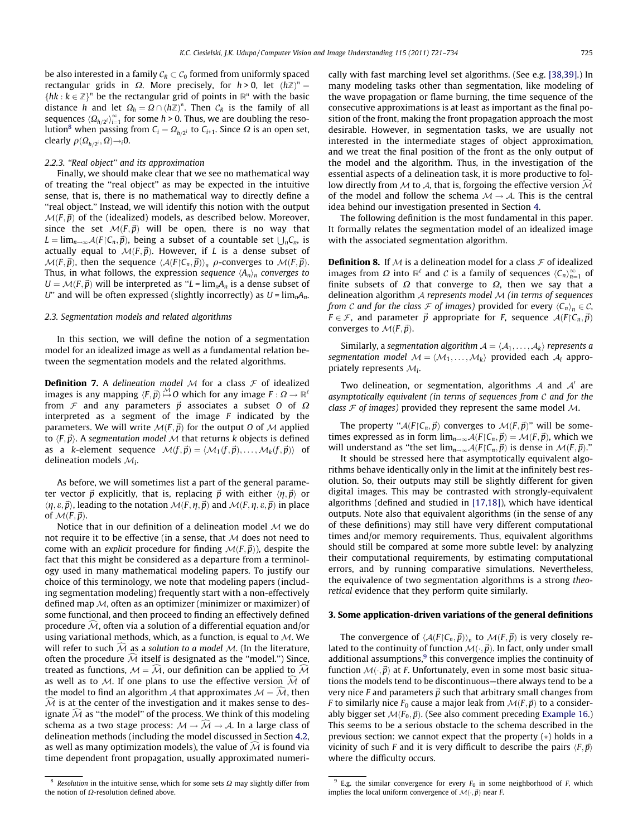be also interested in a family  $C_R \subset C_0$  formed from uniformly spaced rectangular grids in  $\Omega$ . More precisely, for  $h > 0$ , let  $(h\mathbb{Z})^n =$  $\{hk : k \in \mathbb{Z}\}^n$  be the rectangular grid of points in  $\mathbb{R}^n$  with the basic distance h and let  $\Omega_h = \Omega \cap (h\mathbb{Z})^n$ . Then  $\mathcal{C}_R$  is the family of all sequences  $\langle \Omega_{h/2} \rangle_{i=1}^{\infty}$  for some  $h > 0$ . Thus, we are doubling the resolution<sup>8</sup> when passing from  $C_i = \Omega_{h/2}$  to  $C_{i+1}$ . Since  $\Omega$  is an open set, clearly  $\rho(\Omega_{h/2^i}, \Omega) \rightarrow i0$ .

# 2.2.3. ''Real object'' and its approximation

Finally, we should make clear that we see no mathematical way of treating the ''real object'' as may be expected in the intuitive sense, that is, there is no mathematical way to directly define a ''real object.'' Instead, we will identify this notion with the output  $\mathcal{M}(F,\vec{p})$  of the (idealized) models, as described below. Moreover, since the set  $\mathcal{M}(F,\vec{p})$  will be open, there is no way that  $L = \lim_{n \to \infty} \mathcal{A}(F[C_n, \vec{p}),$  being a subset of a countable set  $\bigcup_n C_n$ , is actually equal to  $\mathcal{M}(F,\vec{p})$ . However, if L is a dense subset of  $\mathcal{M}(F, \vec{p})$ , then the sequence  $\langle \mathcal{A}(F \restriction C_n, \vec{p}) \rangle_n$   $\rho$ -converges to  $\mathcal{M}(F, \vec{p})$ . Thus, in what follows, the expression sequence  $\langle A_n \rangle_n$  converges to  $U = \mathcal{M}(F,\vec{p})$  will be interpreted as "L = lim<sub>n</sub>A<sub>n</sub> is a dense subset of U" and will be often expressed (slightly incorrectly) as  $U = \lim_{n} A_n$ .

#### 2.3. Segmentation models and related algorithms

In this section, we will define the notion of a segmentation model for an idealized image as well as a fundamental relation between the segmentation models and the related algorithms.

**Definition 7.** A delineation model  $M$  for a class  $F$  of idealized images is any mapping  $\braket{F,\vec{p}} \stackrel{\mathcal{M}}{\mapsto} O$  which for any image  $F : \Omega \to \mathbb{R}^{\ell}$ from  $\mathcal F$  and any parameters  $\vec p$  associates a subset O of  $\Omega$ interpreted as a segment of the image  $F$  indicated by the parameters. We will write  $\mathcal{M}(F,\vec{p})$  for the output O of M applied to  $\langle F,\vec{p}\rangle$ . A segmentation model M that returns k objects is defined as a k-element sequence  $\mathcal{M}(f,\vec{p}) = \langle \mathcal{M}_1(f,\vec{p}), \dots, \mathcal{M}_k(f,\vec{p}) \rangle$  of delineation models  $M_i$ .

As before, we will sometimes list a part of the general parameter vector  $\vec{p}$  explicitly, that is, replacing  $\vec{p}$  with either  $\langle \eta, \vec{p} \rangle$  or  $\langle \eta, \varepsilon, \vec{p} \rangle$ , leading to the notation  $\mathcal{M}(F, \eta, \vec{p})$  and  $\mathcal{M}(F, \eta, \varepsilon, \vec{p})$  in place of  $\mathcal{M}(F,\vec{p})$ .

Notice that in our definition of a delineation model  $M$  we do not require it to be effective (in a sense, that  $M$  does not need to come with an explicit procedure for finding  $\mathcal{M}(F,\vec{p})$ ), despite the fact that this might be considered as a departure from a terminology used in many mathematical modeling papers. To justify our choice of this terminology, we note that modeling papers (including segmentation modeling) frequently start with a non-effectively defined map  $M$ , often as an optimizer (minimizer or maximizer) of some functional, and then proceed to finding an effectively defined procedure  $\dot{M}$ , often via a solution of a differential equation and/or using variational methods, which, as a function, is equal to  $M$ . We will refer to such  $\widehat{\mathcal{M}}$  as a solution to a model  $\mathcal{M}$ . (In the literature, often the procedure  $\hat{\mathcal{M}}$  itself is designated as the "model.") Since, treated as functions,  $M = \widehat{M}$ , our definition can be applied to  $\widehat{M}$ as well as to M. If one plans to use the effective version  $\widehat{M}$  of the model to find an algorithm A that approximates  $M = M$ , then  $\widehat{\mathcal{M}}$  is at the center of the investigation and it makes sense to designate  $\widehat{\mathcal{M}}$  as "the model" of the process. We think of this modeling schema as a two stage process:  $M \rightarrow \widehat{M} \rightarrow A$ . In a large class of delineation methods (including the model discussed in Section [4.2,](#page-8-0) as well as many optimization models), the value of  $\mathcal M$  is found via time dependent front propagation, usually approximated numerically with fast marching level set algorithms. (See e.g. [\[38,39\]](#page-13-0).) In many modeling tasks other than segmentation, like modeling of the wave propagation or flame burning, the time sequence of the consecutive approximations is at least as important as the final position of the front, making the front propagation approach the most desirable. However, in segmentation tasks, we are usually not interested in the intermediate stages of object approximation, and we treat the final position of the front as the only output of the model and the algorithm. Thus, in the investigation of the essential aspects of a delineation task, it is more productive to follow directly from  $M$  to  $A$ , that is, forgoing the effective version  $\widehat{M}$ of the model and follow the schema  $M \rightarrow A$ . This is the central idea behind our investigation presented in Section [4](#page-5-0).

The following definition is the most fundamental in this paper. It formally relates the segmentation model of an idealized image with the associated segmentation algorithm.

**Definition 8.** If  $M$  is a delineation model for a class  $\mathcal F$  of idealized images from  $\Omega$  into  $\mathbb{R}^{\ell}$  and  $\mathcal C$  is a family of sequences  $\langle C_n\rangle_{n=1}^{\infty}$  of finite subsets of  $\Omega$  that converge to  $\Omega$ , then we say that a delineation algorithm  $A$  represents model  $M$  (in terms of sequences from C and for the class F of images) provided for every  $\langle C_n \rangle_n \in \mathcal{C}$ ,  $F \in \mathcal{F}$ , and parameter  $\vec{p}$  appropriate for F, sequence  $\mathcal{A}(F \mid C_n, \vec{p})$ converges to  $\mathcal{M}(F,\vec{p})$ .

Similarly, a segmentation algorithm  $A = \langle A_1, \ldots, A_k \rangle$  represents a segmentation model  $M = \langle M_1, \ldots, M_k \rangle$  provided each  $A_i$  appropriately represents  $M_i$ .

Two delineation, or segmentation, algorithms  $A$  and  $A'$  are asymptotically equivalent (in terms of sequences from  $C$  and for the class  $F$  of images) provided they represent the same model  $M$ .

The property " $\mathcal{A}(F[\mathcal{C}_n, \vec{p})$  converges to  $\mathcal{M}(F, \vec{p})$ " will be sometimes expressed as in form  $\lim_{n\to\infty} \mathcal{A}(F \restriction C_n, \vec{p}) = \mathcal{M}(F, \vec{p})$ , which we will understand as "the set  $\lim_{n\to\infty} \mathcal{A}(F\vert \mathcal{C}_n, \vec{p})$  is dense in  $\mathcal{M}(F, \vec{p})$ ."

It should be stressed here that asymptotically equivalent algorithms behave identically only in the limit at the infinitely best resolution. So, their outputs may still be slightly different for given digital images. This may be contrasted with strongly-equivalent algorithms (defined and studied in [\[17,18\]\)](#page-13-0), which have identical outputs. Note also that equivalent algorithms (in the sense of any of these definitions) may still have very different computational times and/or memory requirements. Thus, equivalent algorithms should still be compared at some more subtle level: by analyzing their computational requirements, by estimating computational errors, and by running comparative simulations. Nevertheless, the equivalence of two segmentation algorithms is a strong theoretical evidence that they perform quite similarly.

### 3. Some application-driven variations of the general definitions

The convergence of  $\langle A(F|C_n, \vec{p}) \rangle_n$  to  $\mathcal{M}(F, \vec{p})$  is very closely related to the continuity of function  $\mathcal{M}(\cdot,\vec{p})$ . In fact, only under small additional assumptions, $9$  this convergence implies the continuity of function  $\mathcal{M}(\cdot,\vec{p})$  at F. Unfortunately, even in some most basic situations the models tend to be discontinuous—there always tend to be a very nice F and parameters  $\vec{p}$  such that arbitrary small changes from F to similarly nice  $F_0$  cause a major leak from  $\mathcal{M}(F,\vec{p})$  to a considerably bigger set  $\mathcal{M}(F_0,\vec{p})$ . (See also comment preceding [Example 16.](#page-8-0)) This seems to be a serious obstacle to the schema described in the previous section: we cannot expect that the property  $(*)$  holds in a vicinity of such F and it is very difficult to describe the pairs  $\langle F, \vec{p} \rangle$ where the difficulty occurs.

Resolution in the intuitive sense, which for some sets  $\Omega$  may slightly differ from the notion of  $\Omega$ -resolution defined above.

 $9$  E.g. the similar convergence for every  $F_0$  in some neighborhood of F, which implies the local uniform convergence of  $\mathcal{M}(\cdot,\vec{p})$  near F.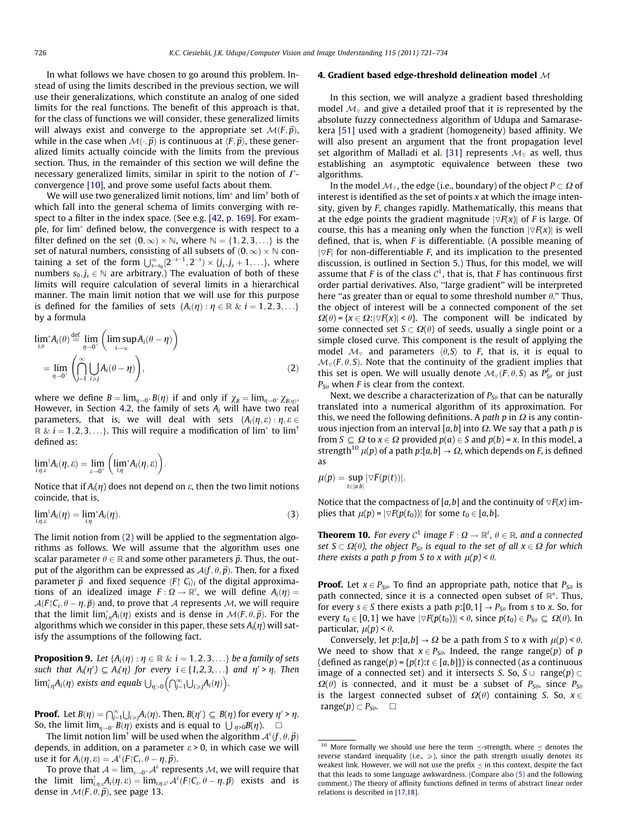<span id="page-5-0"></span>In what follows we have chosen to go around this problem. Instead of using the limits described in the previous section, we will use their generalizations, which constitute an analog of one sided limits for the real functions. The benefit of this approach is that, for the class of functions we will consider, these generalized limits will always exist and converge to the appropriate set  $\mathcal{M}(F,\vec{p})$ , while in the case when  $\mathcal{M}(\cdot,\vec{p})$  is continuous at  $\langle F,\vec{p}\rangle$ , these generalized limits actually coincide with the limits from the previous section. Thus, in the remainder of this section we will define the necessary generalized limits, similar in spirit to the notion of  $\Gamma$ convergence [\[10\],](#page-13-0) and prove some useful facts about them.

We will use two generalized limit notions,  $\lim^*$  and  $\lim^{\dagger}$  both of which fall into the general schema of limits converging with respect to a filter in the index space. (See e.g. [\[42, p. 169\]](#page-13-0). For example, for  $lim^*$  defined below, the convergence is with respect to a filter defined on the set  $(0,\infty)\times\mathbb{N}$ , where  $\mathbb{N}=\{1,2,3,\ldots\}$  is the set of natural numbers, consisting of all subsets of  $(0,\infty)\times\mathbb{N}$  containing a set of the form  $\bigcup_{s=s_0}^{\infty} [2^{-s-1}, 2^{-s}) \times \{j_s, j_s + 1, \ldots\}$ , where numbers  $s_0, j_s \in \mathbb{N}$  are arbitrary.) The evaluation of both of these limits will require calculation of several limits in a hierarchical manner. The main limit notion that we will use for this purpose is defined for the families of sets  $\{A_i(\eta): \eta \in \mathbb{R} \& i = 1, 2, 3, \ldots\}$ by a formula

$$
\lim_{i,\theta} A_i(\theta) \stackrel{\text{def}}{=} \lim_{\eta \to 0^+} \left( \limsup_{i \to \infty} A_i(\theta - \eta) \right)
$$

$$
= \lim_{\eta \to 0^+} \left( \bigcap_{j=1}^{\infty} \bigcup_{i \ge j} A_i(\theta - \eta) \right), \tag{2}
$$

where we define  $B = \lim_{\eta \to 0^+} B(\eta)$  if and only if  $\chi_B = \lim_{\eta \to 0^+} \chi_{B(\eta)}$ . However, in Section [4.2,](#page-8-0) the family of sets  $A_i$  will have two real parameters, that is, we will deal with sets  ${A_i(\eta, \varepsilon): \eta, \varepsilon \in \mathbb{R}^2}$  $\mathbb{R} \& i = 1, 2, 3, \ldots$ . This will require a modification of lim<sup>\*</sup> to lim<sup>\*</sup> defined as:

$$
\lim_{i,\eta,\varepsilon}{}^{\dagger}A_i(\eta,\varepsilon)=\lim_{\varepsilon\to 0^+}\bigg(\lim_{i,\eta}{}^{\ast}A_i(\eta,\varepsilon)\bigg).
$$

Notice that if  $A_i(\eta)$  does not depend on  $\varepsilon$ , then the two limit notions coincide, that is,

$$
\lim_{i,\eta,\varepsilon} A_i(\eta) = \lim_{i,\eta} A_i(\eta). \tag{3}
$$

The limit notion from (2) will be applied to the segmentation algorithms as follows. We will assume that the algorithm uses one scalar parameter  $\theta \in \mathbb{R}$  and some other parameters  $\vec{p}$ . Thus, the output of the algorithm can be expressed as  $A(f, \theta, \vec{p})$ . Then, for a fixed parameter  $\vec{p}$  and fixed sequence  $\langle F | C_i \rangle_i$  of the digital approximations of an idealized image  $F: \Omega \to \mathbb{R}^{\ell}$ , we will define  $A_i(\eta) =$  $\mathcal{A}(F \cap C_i, \theta - \eta, \vec{p})$  and, to prove that  $\mathcal A$  represents  $\mathcal M$ , we will require that the limit  $\lim_{i,\eta}^* A_i(\eta)$  exists and is dense in  $\mathcal{M}(F,\theta,\vec{p})$ . For the algorithms which we consider in this paper, these sets  $A_i(\eta)$  will satisfy the assumptions of the following fact.

**Proposition 9.** Let  $\{A_i(\eta) : \eta \in \mathbb{R} \& i = 1, 2, 3, \ldots\}$  be a family of sets such that  $A_i(\eta') \subseteq A_i(\eta)$  for every  $i \in \{1, 2, 3, ...\}$  and  $\eta' > \eta$ . Then  $\lim_{n \to \infty} A_i(\eta)$  exists and equals  $\bigcup_{\eta > 0} \left( \bigcap_{j=1}^{\infty} \bigcup_{i \geq j} A_i(\eta) \right)$ .

**Proof.** Let  $B(\eta) = \bigcap_{j=1}^{\infty} \bigcup_{i \geq j} A_i(\eta)$ . Then,  $B(\eta') \subseteq B(\eta)$  for every  $\eta' > \eta$ . So, the limit  $\lim_{n\to 0^+} B(\eta)$  exists and is equal to  $\bigcup_{n>0} B(\eta)$ .  $\Box$ 

The limit notion lim<sup>†</sup> will be used when the algorithm  $\mathcal{A}^{\varepsilon}(f,\theta,\vec{p})$ depends, in addition, on a parameter  $\varepsilon > 0$ , in which case we will use it for  $A_i(\eta, \varepsilon) = A^{\varepsilon}(F \restriction C_i, \theta - \eta, \vec{p}).$ 

To prove that  $A = \lim_{\varepsilon \to 0^+} A^{\varepsilon}$  represents M, we will require that the limit  $\lim_{i,\eta,\varepsilon}^{\dagger} A_i(\eta,\varepsilon) = \lim_{i,\eta,\varepsilon^{\dagger}} \mathcal{A}^{\varepsilon}(F[\mathcal{C}_i,\theta-\eta,\vec{p})$  exists and is dense in  $\mathcal{M}(F,\theta,\vec{p})$ , see page 13.

# 4. Gradient based edge-threshold delineation model  $M$

In this section, we will analyze a gradient based thresholding model  $M_{\nu}$  and give a detailed proof that it is represented by the absolute fuzzy connectedness algorithm of Udupa and Samarasekera [\[51\]](#page-13-0) used with a gradient (homogeneity) based affinity. We will also present an argument that the front propagation level set algorithm of Malladi et al. [\[31\]](#page-13-0) represents  $M_{\sigma}$  as well, thus establishing an asymptotic equivalence between these two algorithms.

In the model  $\mathcal{M}_{\nabla}$ , the edge (i.e., boundary) of the object  $P \subset \Omega$  of interest is identified as the set of points  $x$  at which the image intensity, given by F, changes rapidly. Mathematically, this means that at the edge points the gradient magnitude  $|\nabla F(x)|$  of F is large. Of course, this has a meaning only when the function  $|\nabla F(x)|$  is well defined, that is, when  $F$  is differentiable. (A possible meaning of  $|\nabla F|$  for non-differentiable F, and its implication to the presented discussion, is outlined in Section [5](#page-10-0).) Thus, for this model, we will assume that F is of the class  $C^1$ , that is, that F has continuous first order partial derivatives. Also, ''large gradient'' will be interpreted here "as greater than or equal to some threshold number  $\theta$ ." Thus, the object of interest will be a connected component of the set  $\Omega(\theta) = \{x \in \Omega : |\nabla F(x)| < \theta\}.$  The component will be indicated by some connected set  $S \subset \Omega(\theta)$  of seeds, usually a single point or a simple closed curve. This component is the result of applying the model  $M_{\nu}$  and parameters  $\langle \theta, S \rangle$  to F, that is, it is equal to  $\mathcal{M}_{\triangledown}(F, \theta, S)$ . Note that the continuity of the gradient implies that this set is open. We will usually denote  $\mathcal{M}_{\triangledown}(F, \theta, S)$  as  $P_{S\theta}^{F}$  or just  $P_{S_{\theta}}$  when F is clear from the context.

Next, we describe a characterization of  $P_{S\theta}$  that can be naturally translated into a numerical algorithm of its approximation. For this, we need the following definitions. A path p in  $\Omega$  is any continuous injection from an interval [a, b] into  $\Omega$ . We say that a path p is from  $S \subseteq \Omega$  to  $x \in \Omega$  provided  $p(a) \in S$  and  $p(b) = x$ . In this model, a strength<sup>10</sup>  $\mu(p)$  of a path  $p:[a,b] \to \Omega$ , which depends on F, is defined as

$$
\mu(p) = \sup_{t \in [a,b]} |\nabla F(p(t))|.
$$

Notice that the compactness of [a, b] and the continuity of  $\nabla F(x)$  implies that  $\mu(p) = |\nabla F(p(t_0))|$  for some  $t_0 \in [a,b]$ .

**Theorem 10.** For every  $C^1$  image  $F : \Omega \to \mathbb{R}^{\ell}$ ,  $\theta \in \mathbb{R}$ , and a connected set  $S \subset \Omega(\theta)$ , the object  $P_{S\theta}$  is equal to the set of all  $x \in \Omega$  for which there exists a path p from S to x with  $\mu(p) < \theta$ .

**Proof.** Let  $x \in P_{S\theta}$ . To find an appropriate path, notice that  $P_{S\theta}$  is path connected, since it is a connected open subset of  $\mathbb{R}^n$ . Thus, for every  $s \in S$  there exists a path  $p:[0,1] \rightarrow P_{S\theta}$  from s to x. So, for every  $t_0 \in [0,1]$  we have  $|\nabla F(p(t_0))| < \theta$ , since  $p(t_0) \in P_{S\theta} \subseteq \Omega(\theta)$ . In particular,  $\mu(p) < \theta$ .

Conversely, let  $p:[a,b] \to \Omega$  be a path from S to x with  $\mu(p) < \theta$ . We need to show that  $x \in P_{S\theta}$ . Indeed, the range range(p) of p (defined as range(p) = { $p(t):t \in [a,b]$ }) is connected (as a continuous image of a connected set) and it intersects *S*. So,  $S \cup \text{ range}(p) \subset$  $\Omega(\theta)$  is connected, and it must be a subset of  $P_{S(\theta)}$  since  $P_{S(\theta)}$ is the largest connected subset of  $\Omega(\theta)$  containing S. So,  $x \in$ range( $p$ )  $\subset P_{S\theta}$ .  $\Box$ 

 $^{10}$  More formally we should use here the term  $\preceq$ -strength, where  $\preceq$  denotes the reverse standard inequality (i.e.,  $\geqslant$ ), since the path strength usually denotes its weakest link. However, we will not use the prefix  $\leq$  in this context, despite the fact that this leads to some language awkwardness. (Compare also [\(5\)](#page-7-0) and the following comment.) The theory of affinity functions defined in terms of abstract linear order relations is described in [\[17,18\].](#page-13-0)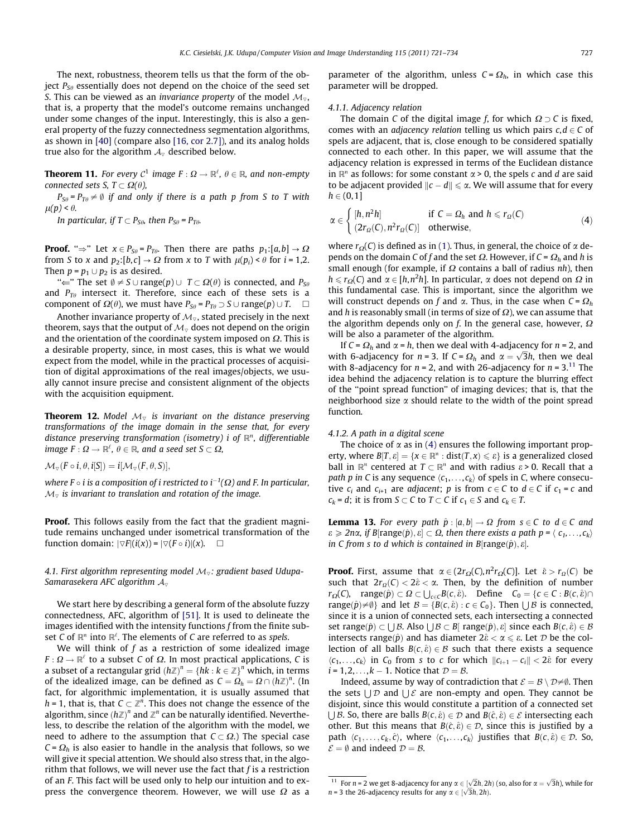<span id="page-6-0"></span>The next, robustness, theorem tells us that the form of the object  $P_{SA}$  essentially does not depend on the choice of the seed set S. This can be viewed as an *invariance property* of the model  $M_{\sigma}$ . that is, a property that the model's outcome remains unchanged under some changes of the input. Interestingly, this is also a general property of the fuzzy connectedness segmentation algorithms, as shown in [\[40\]](#page-13-0) (compare also [\[16, cor 2.7\]\)](#page-13-0), and its analog holds true also for the algorithm  $A_{\nabla}$  described below.

**Theorem 11.** For every  $C^1$  image  $F: \Omega \to \mathbb{R}^{\ell}$ ,  $\theta \in \mathbb{R}$ , and non-empty connected sets S,  $T \subset \Omega(\theta)$ ,

 $P_{S\theta} = P_{T\theta} \neq \emptyset$  if and only if there is a path p from S to T with  $\mu(p) < \theta$ .

In particular, if  $T \subset P_{S\theta}$ , then  $P_{S\theta} = P_{T\theta}$ .

**Proof.** " $\Rightarrow$ " Let  $x \in P_{S\theta} = P_{T\theta}$ . Then there are paths  $p_1:[a,b] \to \Omega$ from S to x and  $p_2:[b,c] \to \Omega$  from x to T with  $\mu(p_i) < \theta$  for  $i = 1,2$ . Then  $p = p_1 \cup p_2$  is as desired.

" $\Leftarrow$ " The set  $\emptyset \neq S \cup \text{range}(p) \cup T \subset \Omega(\theta)$  is connected, and  $P_{S\theta}$ and  $P_{T\theta}$  intersect it. Therefore, since each of these sets is a component of  $\Omega(\theta)$ , we must have  $P_{S\theta} = P_{T\theta} \supset S \cup \text{range}(p) \cup T$ .  $\Box$ 

Another invariance property of  $\mathcal{M}_{\nabla}$ , stated precisely in the next theorem, says that the output of  $\mathcal{M}_{\nabla}$  does not depend on the origin and the orientation of the coordinate system imposed on  $\Omega$ . This is a desirable property, since, in most cases, this is what we would expect from the model, while in the practical processes of acquisition of digital approximations of the real images/objects, we usually cannot insure precise and consistent alignment of the objects with the acquisition equipment.

**Theorem 12.** Model  $M_{\nabla}$  is invariant on the distance preserving transformations of the image domain in the sense that, for every distance preserving transformation (isometry) i of  $\mathbb{R}^n$ , differentiable image  $F:\Omega\to{\mathbb R}^\ell$ ,  $\theta\in{\mathbb R}$ , and a seed set  $S\subset\Omega$ ,

 $\mathcal{M}_{\triangledown}(F \circ i, \theta, i[S]) = i[\mathcal{M}_{\triangledown}(F, \theta, S)],$ 

where F  $\circ$  i is a composition of i restricted to i $^{-1}(\Omega)$  and F. In particular,  $\mathcal{M}_{\nabla}$  is invariant to translation and rotation of the image.

**Proof.** This follows easily from the fact that the gradient magnitude remains unchanged under isometrical transformation of the function domain:  $|\triangledown F|(i(x)) = |\triangledown (F \circ i)|(x)$ .  $\Box$ 

4.1. First algorithm representing model  $M_{\triangledown}$ : gradient based Udupa-Samarasekera AFC algorithm  $A_{\triangledown}$ 

We start here by describing a general form of the absolute fuzzy connectedness, AFC, algorithm of [\[51\].](#page-13-0) It is used to delineate the images identified with the intensity functions  $f$  from the finite subset C of  $\mathbb{R}^n$  into  $\mathbb{R}^{\ell}$ . The elements of C are referred to as spels.

We will think of  $f$  as a restriction of some idealized image  $F: \Omega \to \mathbb{R}^{\ell}$  to a subset C of  $\Omega$ . In most practical applications, C is a subset of a rectangular grid  $(h\mathbb{Z})^n = \{hk : k \in \mathbb{Z}\}^n$  which, in terms of the idealized image, can be defined as  $C = \Omega_h = \Omega \cap (h\mathbb{Z})^n$ . (In fact, for algorithmic implementation, it is usually assumed that  $h = 1$ , that is, that  $C \subset \mathbb{Z}^n$ . This does not change the essence of the algorithm, since  $(h\mathbb{Z})^n$  and  $\mathbb{Z}^n$  can be naturally identified. Nevertheless, to describe the relation of the algorithm with the model, we need to adhere to the assumption that  $C \subset \Omega$ .) The special case  $C = \Omega_h$  is also easier to handle in the analysis that follows, so we will give it special attention. We should also stress that, in the algorithm that follows, we will never use the fact that  $f$  is a restriction of an F. This fact will be used only to help our intuition and to express the convergence theorem. However, we will use  $\Omega$  as a parameter of the algorithm, unless  $C = \Omega_h$ , in which case this parameter will be dropped.

### 4.1.1. Adjacency relation

The domain C of the digital image f, for which  $\Omega \supset C$  is fixed, comes with an adjacency relation telling us which pairs  $c, d \in C$  of spels are adjacent, that is, close enough to be considered spatially connected to each other. In this paper, we will assume that the adjacency relation is expressed in terms of the Euclidean distance in  $\mathbb{R}^n$  as follows: for some constant  $\alpha > 0$ , the spels c and d are said to be adjacent provided  $\|c - d\| \leq \alpha$ . We will assume that for every  $h \in (0,1]$ 

$$
\alpha \in \begin{cases} [h, n^2 h] & \text{if } C = \Omega_h \text{ and } h \leqslant r_{\Omega}(C) \\ (2r_{\Omega}(C), n^2 r_{\Omega}(C)) & \text{otherwise,} \end{cases}
$$
(4)

where  $r<sub>O</sub>(C)$  is defined as in [\(1\).](#page-3-0) Thus, in general, the choice of  $\alpha$  depends on the domain C of f and the set  $\Omega$ . However, if  $C = \Omega_h$  and h is small enough (for example, if  $\Omega$  contains a ball of radius nh), then  $h \leqslant r_{\Omega}(\mathcal{C})$  and  $\alpha \in [h,n^2h]$ . In particular,  $\alpha$  does not depend on  $\Omega$  in this fundamental case. This is important, since the algorithm we will construct depends on f and  $\alpha$ . Thus, in the case when  $C = \Omega_h$ and h is reasonably small (in terms of size of  $\Omega$ ), we can assume that the algorithm depends only on f. In the general case, however,  $\Omega$ will be also a parameter of the algorithm.

If  $C = \Omega_h$  and  $\alpha = h$ , then we deal with 4-adjacency for  $n = 2$ , and if  $C - \frac{S}{h}$  and  $\alpha - n$ , then we deal with 4-adjacency for  $n - 2$ , and  $\alpha = \sqrt{3}h$ , then we deal with 8-adjacency for  $n = 2$ , and with 26-adjacency for  $n = 3$ .<sup>11</sup> The idea behind the adjacency relation is to capture the blurring effect of the ''point spread function'' of imaging devices; that is, that the neighborhood size  $\alpha$  should relate to the width of the point spread function.

#### 4.1.2. A path in a digital scene

The choice of  $\alpha$  as in (4) ensures the following important property, where  $B[T,\varepsilon] = \{x \in \mathbb{R}^n : dist(T, x) \leqslant \varepsilon\}$  is a generalized closed ball in  $\mathbb{R}^n$  centered at  $T \subset \mathbb{R}^n$  and with radius  $\varepsilon > 0$ . Recall that a path p in C is any sequence  $\langle c_1,\ldots,c_k\rangle$  of spels in C, where consecutive  $c_i$  and  $c_{i+1}$  are *adjacent*; p is from  $c \in C$  to  $d \in C$  if  $c_1 = c$  and  $c_k = d$ ; it is from  $S \subset C$  to  $T \subset C$  if  $c_1 \in S$  and  $c_k \in T$ .

**Lemma 13.** For every path  $\hat{p}$ :  $[a, b] \rightarrow \Omega$  from  $s \in C$  to  $d \in C$  and  $\varepsilon \geqslant 2n\alpha$ , if B[range( $\hat{p}$ ),  $\varepsilon$ ]  $\subset \Omega$ , then there exists a path  $p = \langle c_1, \ldots, c_k \rangle$ in C from s to d which is contained in B[range( $\hat{p}$ ),  $\varepsilon$ ].

**Proof.** First, assume that  $\alpha \in (2r_{\Omega}(C), n^2r_{\Omega}(C))$ . Let  $\hat{\varepsilon} > r_{\Omega}(C)$  be such that  $2r_{\Omega}(C) < 2\hat{\epsilon} < \alpha$ . Then, by the definition of number rand the  $\lim_{x \to \infty}$   $\lim_{\epsilon \to \infty}$   $\lim_{\epsilon \to \infty}$   $\lim_{\epsilon \to \infty}$   $\lim_{\epsilon \to \infty}$   $\lim_{\epsilon \to \infty}$   $\lim_{\epsilon \to \infty}$   $\lim_{\epsilon \to \infty}$   $\lim_{\epsilon \to \infty}$   $\lim_{\epsilon \to \infty}$   $\lim_{\epsilon \to \infty}$ range $\{\hat{p}\}\neq \emptyset\}$  and let  $\mathcal{B} = \{B(c, \hat{\varepsilon}) : c \in C_0\}$ . Then  $\cup \mathcal{B}$  is connected, since it is a union of connected sets, each intersecting a connected set range $(\hat{p}) \subset \bigcup \mathcal{B}$ . Also  $\bigcup \mathcal{B} \subset B$  range $(\hat{p}), \varepsilon$  since each  $B(c, \hat{\varepsilon}) \in \mathcal{B}$ intersects range $(\hat{p})$  and has diameter  $2\hat{\epsilon} < \alpha \leq \epsilon$ . Let D be the collection of all balls  $B(c, \hat{\varepsilon}) \in \mathcal{B}$  such that there exists a sequence  $\langle c_1,\ldots,c_k\rangle$  in  $C_0$  from s to c for which  $||c_{i+1}-c_i|| < 2\hat{\epsilon}$  for every  $i = 1, 2, \ldots, k - 1$ . Notice that  $D = B$ .

Indeed, assume by way of contradiction that  $\mathcal{E} = \mathcal{B} \setminus \mathcal{D} \neq \emptyset$ . Then the sets  $\bigcup \mathcal{D}$  and  $\bigcup \mathcal{E}$  are non-empty and open. They cannot be disjoint, since this would constitute a partition of a connected set  $\bigcup$  B. So, there are balls  $B(c, \hat{\varepsilon}) \in \mathcal{D}$  and  $B(\hat{c}, \hat{\varepsilon}) \in \mathcal{E}$  intersecting each other. But this means that  $B(\hat{c}, \hat{\varepsilon}) \in \mathcal{D}$ , since this is justified by a path  $\langle c_1, \ldots, c_k, \hat{c} \rangle$ , where  $\langle c_1, \ldots, c_k \rangle$  justifies that  $B(c, \hat{\varepsilon}) \in \mathcal{D}$ . So,  $\mathcal{E} = \emptyset$  and indeed  $\mathcal{D} = \mathcal{B}$ .

 $\frac{11}{11}$  For  $n = 2$  we get 8-adjacency for any  $\alpha \in [\sqrt{2}h, 2h)$  (so, also for  $\alpha = \sqrt{3}h$ ), while for n = 3 the 26-adjacency results for any  $\alpha \in [\sqrt{3}h, 2h]$ ,  $n = 3$  the 26-adjacency results for any  $\alpha \in [\sqrt{3}h, 2h]$ .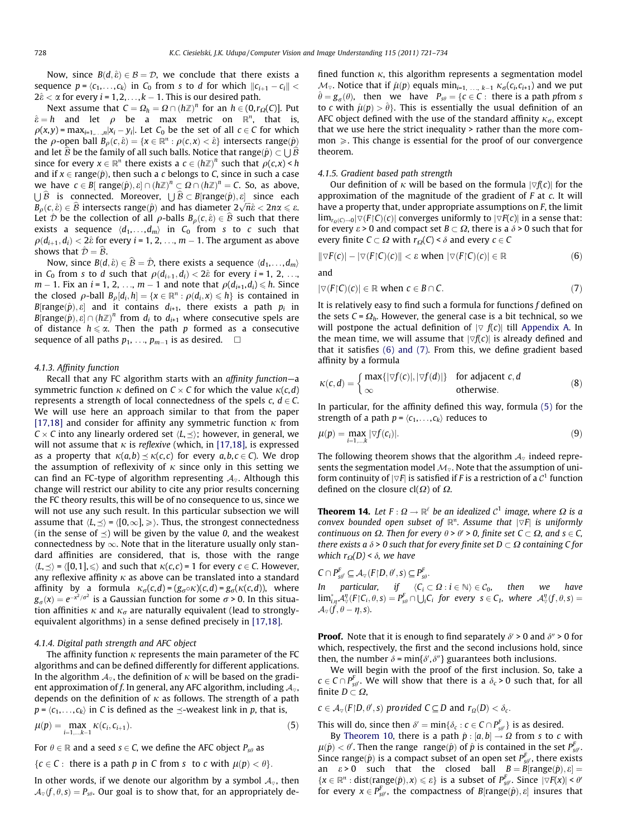<span id="page-7-0"></span>Now, since  $B(d, \hat{\varepsilon}) \in \mathcal{B} = \mathcal{D}$ , we conclude that there exists a sequence  $p = \langle c_1, \ldots, c_k \rangle$  in  $C_0$  from s to d for which  $||c_{i+1} - c_i|| <$  $2\hat{\epsilon} < \alpha$  for every  $i = 1,2,\ldots,k - 1$ . This is our desired path.

Next assume that  $C = \Omega_h = \Omega \cap (h \mathbb{Z})^n$  for an  $h \in (0,r_{\Omega}(C)].$  Put  $\hat{\varepsilon} = h$  and let  $\rho$  be a max metric on  $\mathbb{R}^n$ , that is,  $\rho(x,y)$  = max<sub>i=1,...,n</sub>|x<sub>i</sub> – y<sub>i</sub>|. Let C<sub>0</sub> be the set of all  $c \in C$  for which the  $\rho$ -open ball  $B_\rho(c, \hat{\varepsilon}) = \{x \in \mathbb{R}^n : \rho(c, x) < \hat{\varepsilon}\}\$ intersects range $(\hat{p})$ and let  $\widehat{\mathcal{B}}$  be the family of all such balls. Notice that range $(\widehat{p})\subset \bigcup \widehat{\mathcal{B}}$ since for every  $x \in \mathbb{R}^n$  there exists a  $c \in (h\mathbb{Z})^n$  such that  $\rho(c,x) < h$ and if  $x \in \text{range}(\hat{p})$ , then such a c belongs to C, since in such a case we have  $c \in B[$  range $(\hat{p}), \varepsilon] \cap (h\mathbb{Z})^n \subset \Omega \cap (h\mathbb{Z})^n = C$ . So, as above,  $\bigcup \widehat{\mathcal{B}}$  is connected. Moreover,  $\bigcup \widehat{\mathcal{B}} \subset B$  [range $(\widehat{p}), \varepsilon$ ] since each  $B_\rho(c, \hat{\varepsilon}) \in \widehat{\mathcal{B}}$  intersects range $(\hat{p})$  and has diameter  $2\sqrt{n}\hat{\varepsilon} < 2n\alpha \leq \varepsilon$ . Let  $\hat{\mathcal{D}}$  be the collection of all  $\rho$ -balls  $B_\rho(c, \hat{\varepsilon}) \in \hat{\mathcal{B}}$  such that there exists a sequence  $\langle d_1, \ldots, d_m \rangle$  in  $C_0$  from s to c such that  $\rho(d_{i+1}, d_i) < 2\hat{\epsilon}$  for every  $i = 1, 2, ..., m - 1$ . The argument as above shows that  $\hat{\mathcal{D}} = \hat{\mathcal{B}}$ .

Now, since  $B(d, \hat{\varepsilon}) \in \hat{B} = \hat{\mathcal{D}}$ , there exists a sequence  $\langle d_1, \ldots, d_m \rangle$ in C<sub>0</sub> from s to d such that  $\rho(d_{i+1}, d_i) < 2\hat{\epsilon}$  for every  $i = 1, 2, ...,$  $m-1$ . Fix an  $i = 1, 2, \ldots, m-1$  and note that  $\rho(d_{i+1}, d_i) \leq h$ . Since the closed  $\rho$ -ball  $B_{\rho}[d_i, h] = \{x \in \mathbb{R}^n : \rho(d_i, x) \leq h\}$  is contained in B[range $(\hat{p})$ , $\varepsilon$ ] and it contains  $d_{i+1}$ , there exists a path  $p_i$  in B[range $(\hat{p}), \varepsilon\vert\cap (h\mathbb{Z})^n$  from  $d_i$  to  $d_{i+1}$  where consecutive spels are of distance  $h \le \alpha$ . Then the path p formed as a consecutive sequence of all paths  $p_1, \ldots, p_{m-1}$  is as desired.  $\Box$ 

## 4.1.3. Affinity function

Recall that any FC algorithm starts with an affinity function—a symmetric function  $\kappa$  defined on  $C \times C$  for which the value  $\kappa(c,d)$ represents a strength of local connectedness of the spels c,  $d \in C$ . We will use here an approach similar to that from the paper [\[17,18\]](#page-13-0) and consider for affinity any symmetric function  $\kappa$  from C  $\times$  C into any linearly ordered set  $\langle L, \preceq \rangle$ ; however, in general, we will not assume that  $\kappa$  is reflexive (which, in [\[17,18\],](#page-13-0) is expressed as a property that  $\kappa(a,b) \preceq \kappa(c, c)$  for every  $a, b, c \in C$ ). We drop the assumption of reflexivity of  $\kappa$  since only in this setting we can find an FC-type of algorithm representing  $A_{\nabla}$ . Although this change will restrict our ability to cite any prior results concerning the FC theory results, this will be of no consequence to us, since we will not use any such result. In this particular subsection we will assume that  $\langle L, \preceq \rangle = \langle [0,\infty],\geq \rangle$ . Thus, the strongest connectedness (in the sense of  $\preceq$ ) will be given by the value 0, and the weakest connectedness by  $\infty$ . Note that in the literature usually only standard affinities are considered, that is, those with the range  $\langle L, \prec \rangle = \langle [0,1], \le \rangle$  and such that  $\kappa(c, c) = 1$  for every  $c \in C$ . However, any reflexive affinity  $\kappa$  as above can be translated into a standard affinity by a formula  $\kappa_{\sigma}(c,d) = (g_{\sigma} \circ \kappa)(c,d) = g_{\sigma}(\kappa(c,d)),$  where  $g_{\sigma}(x) = e^{-x^2/\sigma^2}$  is a Gaussian function for some  $\sigma > 0$ . In this situation affinities  $\kappa$  and  $\kappa_{\sigma}$  are naturally equivalent (lead to stronglyequivalent algorithms) in a sense defined precisely in [\[17,18\]](#page-13-0).

#### 4.1.4. Digital path strength and AFC object

The affinity function  $\kappa$  represents the main parameter of the FC algorithms and can be defined differently for different applications. In the algorithm  $A_{\triangledown}$ , the definition of  $\kappa$  will be based on the gradient approximation of f. In general, any AFC algorithm, including  $A_{\triangledown}$ , depends on the definition of  $\kappa$  as follows. The strength of a path  $p = \langle c_1,..., c_k \rangle$  in C is defined as the  $\preceq$ -weakest link in p, that is,

$$
\mu(p) = \max_{i=1,\dots,k-1} \kappa(c_i, c_{i+1}).
$$
\n(5)

For  $\theta \in \mathbb{R}$  and a seed  $s \in \mathcal{C}$ , we define the AFC object  $P_{s\theta}$  as

 ${c \in C : \text{ there is a path } p \text{ in } C \text{ from } s \text{ to } c \text{ with } \mu(p) < \theta}.$ 

In other words, if we denote our algorithm by a symbol  $A_{\triangledown}$ , then  $A_{\triangledown}(f, \theta, s) = P_{s\theta}$ . Our goal is to show that, for an appropriately defined function  $\kappa$ , this algorithm represents a segmentation model  $\mathcal{M}_{\triangledown}$ . Notice that if  $\hat{\mu}(p)$  equals min<sub>i=1, ..., k-1</sub>  $\kappa_{\sigma}(c_i, c_{i+1})$  and we put  $\hat{\theta} = g_{\sigma}(\theta)$ , then we have  $P_{s\theta} = \{c \in \mathcal{C} : \text{there is a path of }f \text{ from } s\}$ to c with  $\hat{\mu}(p) > \hat{\theta}$ . This is essentially the usual definition of an AFC object defined with the use of the standard affinity  $\kappa_{\sigma}$ , except that we use here the strict inequality > rather than the more common  $\geq$ . This change is essential for the proof of our convergence theorem.

### 4.1.5. Gradient based path strength

Our definition of  $\kappa$  will be based on the formula  $|\nabla f(c)|$  for the approximation of the magnitude of the gradient of  $F$  at  $c$ . It will have a property that, under appropriate assumptions on F, the limit  $\lim_{r_\Omega(C)\to 0} |\nabla(F(C)(c)|$  converges uniformly to  $|\nabla F(c)|$  in a sense that: for every  $\varepsilon > 0$  and compact set  $B \subset \Omega$ , there is a  $\delta > 0$  such that for every finite  $C \subset \Omega$  with  $r_O(C) \leq \delta$  and every  $c \in C$ 

$$
\|\nabla F(c)| - |\nabla (F\zeta)(c)\| < \varepsilon \text{ when } |\nabla (F\zeta)(c)| \in \mathbb{R} \tag{6}
$$

and

$$
|\triangledown(F\upharpoonright C)(c)| \in \mathbb{R} \text{ when } c \in B \cap C. \tag{7}
$$

It is relatively easy to find such a formula for functions  $f$  defined on the sets  $C = \Omega_h$ . However, the general case is a bit technical, so we will postpone the actual definition of  $|\triangledown f(c)|$  till [Appendix A.](#page-12-0) In the mean time, we will assume that  $|\nabla f(c)|$  is already defined and that it satisfies (6) and (7). From this, we define gradient based affinity by a formula

$$
\kappa(c,d) = \begin{cases} \max\{|\triangledown f(c)|, |\triangledown f(d)|\} & \text{for adjacent } c, d \\ \infty & \text{otherwise.} \end{cases}
$$
 (8)

In particular, for the affinity defined this way, formula (5) for the strength of a path  $p = \langle c_1, \ldots, c_k \rangle$  reduces to

$$
\mu(p) = \max_{i=1,\dots,k} |\nabla f(c_i)|. \tag{9}
$$

The following theorem shows that the algorithm  $A_{\nabla}$  indeed represents the segmentation model  $M_{\nu}$ . Note that the assumption of uniform continuity of  $|\nabla F|$  is satisfied if F is a restriction of a  $C^1$  function defined on the closure  $cl(\Omega)$  of  $\Omega$ .

**Theorem 14.** Let  $F: \Omega \to \mathbb{R}^{\ell}$  be an idealized  $C^1$  image, where  $\Omega$  is a convex bounded open subset of  $\mathbb{R}^n$ . Assume that  $|\nabla F|$  is uniformly continuous on  $\Omega$ . Then for every  $\theta > \theta' > 0$ , finite set  $C \subset \Omega$ , and  $s \in C$ , there exists a  $\delta > 0$  such that for every finite set  $D \subset \Omega$  containing C for which  $r_{\Omega}(D) < \delta$ , we have

$$
C \cap P_{s\theta'}^F \subseteq \mathcal{A}_{\triangledown}(F \upharpoonright D, \theta', s) \subseteq P_{s\theta}^F.
$$

In particular, if  $\langle C_i \subset \Omega : i \in \mathbb{N} \rangle \in \mathcal{C}_0$ , then we have  $\lim_{i,j}^{\ast} A_{\triangledown}^{ij}(F(C_i, \theta, s) = P_{s\theta}^F \cap \bigcup_{i} C_i$  for every  $s \in C_i$ , where  $A_{\triangledown}^{ij}(f, \theta, s) =$  $\mathcal{A}_{\triangledown}(f, \theta - \eta, s).$ 

**Proof.** Note that it is enough to find separately  $\delta$  > 0 and  $\delta$  > 0 for which, respectively, the first and the second inclusions hold, since then, the number  $\delta$  = min{ $\delta'$ ,  $\delta''$ } guarantees both inclusions.

We will begin with the proof of the first inclusion. So, take a  $c \in C \cap P_{\text{sg}}^F$ . We will show that there is a  $\delta_c > 0$  such that, for all finite  $D \subset \Omega$ ,

 $c \in A_{\triangledown}(F \vert D, \theta', s)$  provided  $C \subseteq D$  and  $r_{\Omega}(D) < \delta_c$ .

This will do, since then  $\delta' = \min\{\delta_c : c \in C \cap P_{\textit{sg'}}^{\textit{F}}\}$  is as desired.

By [Theorem 10,](#page-5-0) there is a path  $\hat{p} : [a, b] \rightarrow \Omega$  from s to c with  $\mu(\hat{p}) < \theta'$ . Then the range range $(\hat{p})$  of  $\hat{p}$  is contained in the set  $P_{\text{sg}'}^F$ . Since range( $\hat{p}$ ) is a compact subset of an open set  $P_{\text{S}\theta}^{\text{F}}$ , there exists an  $\varepsilon > 0$  such that the closed ball  $B = B$ [range $(\hat{p}), \varepsilon$ ] =  $\{x \in \mathbb{R}^n : \text{dist}(\text{range}(\hat{p}), x) \leq \varepsilon\}$  is a subset of  $P_{s\theta}^F$ . Since  $|\nabla F(x)| < \theta$ for every  $x \in P_{\text{sg}}^F$ , the compactness of  $B[\text{range}(\hat{p}), \varepsilon]$  insures that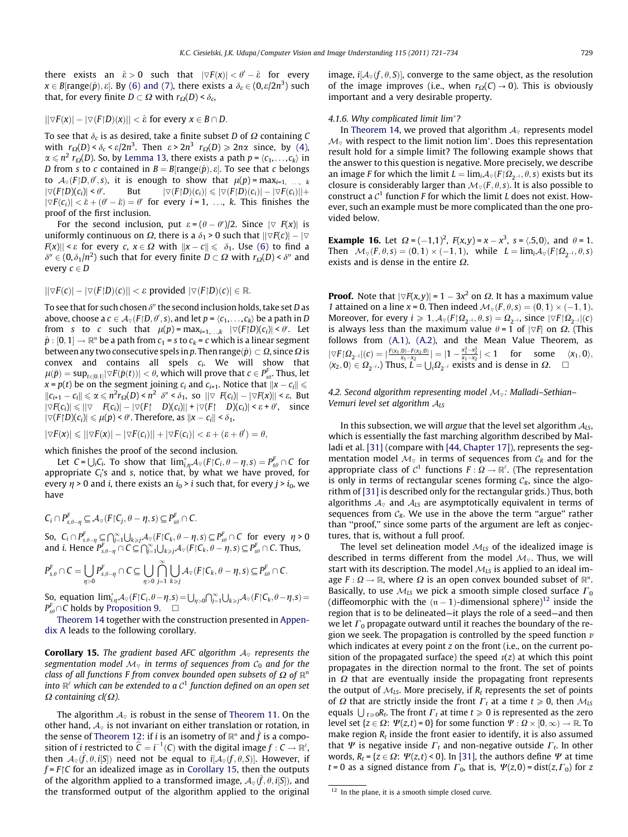<span id="page-8-0"></span>there exists an  $\hat{\epsilon} > 0$  such that  $|\nabla F(x)| < \theta' - \hat{\epsilon}$  for every  $x \in B$ [range $(\hat{p}), \varepsilon$ ]. By [\(6\) and \(7\)](#page-7-0), there exists a  $\delta_c \in (0,\varepsilon/2n^3)$  such that, for every finite  $D \subset \Omega$  with  $r_{\Omega}(D) \leq \delta_c$ ,

$$
||\triangledown F(x)| - |\triangledown (F \upharpoonright D)(x)|| < \hat{\epsilon} \text{ for every } x \in B \cap D.
$$

To see that  $\delta_c$  is as desired, take a finite subset D of  $\Omega$  containing C with  $r_{\Omega}(D) < \delta_c < \varepsilon/2n^3$ . Then  $\varepsilon > 2n^3$   $r_{\Omega}(D) \ge 2n\alpha$  since, by [\(4\),](#page-6-0)  $\alpha \leq n^2$  r<sub> $\Omega$ </sub>(D). So, by [Lemma 13,](#page-6-0) there exists a path  $p = \langle c_1, \ldots, c_k \rangle$  in D from s to c contained in  $B = B$ [range $(\hat{p})$ ,  $\varepsilon$ ]. To see that c belongs to  $A_{\triangledown}(F/D, \theta', s)$ , it is enough to show that  $\mu(p)$  = max<sub>i=1, ..., k</sub>  $|\triangledown(F\upharpoonright D)(c_i)| < \theta'.$ **But**  $|\triangledown(F[D)(c_i)| \leq |\triangledown(F[D)(c_i)| - |\triangledown F(c_i)|| +$  $|\nabla F(c_i)| < \hat{\varepsilon} + (\theta' - \hat{\varepsilon}) = \theta'$  for every  $i = 1, \ldots, k$ . This finishes the proof of the first inclusion.

For the second inclusion, put  $\varepsilon = (\theta - \theta')/2$ . Since  $|\nabla F(x)|$  is uniformly continuous on  $\Omega$ , there is a  $\delta_1 > 0$  such that  $||\nabla F(c)| - |\nabla$  $F(x)$ || <  $\varepsilon$  for every  $c, x \in \Omega$  with  $\|x - c\| \le \delta_1$ . Use [\(6\)](#page-7-0) to find a  $\delta'' \in (0,\delta_1/n^2)$  such that for every finite  $D \subset \Omega$  with  $r_{\Omega}(D) \leq \delta''$  and every  $c \in D$ 

 $||\triangledown F(c)| - |\triangledown(F/D)(c)|| < \varepsilon$  provided  $|\triangledown(F/D)(c)| \in \mathbb{R}$ .

To see that for such chosen  $\delta$ <sup>*n*</sup> the second inclusion holds, take set *D* as above, choose a  $c \in \mathcal{A}_{\triangledown}(F \vert D, \theta', s)$ , and let  $p = \langle c_1, \ldots, c_k \rangle$  be a path in D from s to c such that  $\mu(p) = \max_{i=1,...,k} |\nabla(F|D)(c_i)| < \theta'$ . Let  $\hat{p}$  :  $[0, 1] \rightarrow \mathbb{R}^n$  be a path from  $c_1 = s$  to  $c_k = c$  which is a linear segment between any two consecutive spels in p. Then range( $\hat{p}$ )  $\subset \Omega$ , since  $\Omega$  is convex and contains all spels  $c_i$ . We will show that  $\mu(\hat{p}) = \sup_{t\in[0,1]}|\triangledown F(\hat{p}(t))| < \theta,$  which will prove that  $c\in P_{\textit{so}}^{\textit{F}}.$  Thus, let  $x = p(t)$  be on the segment joining  $c_i$  and  $c_{i+1}$ . Notice that  $||x - c_i|| \le$  $||c_{i+1} - c_i|| \le \alpha \le n^2 r_{\Omega}(D) < n^2 \ \delta'' \le \delta_1$ , so  $||\nabla F(c_i)|| - |\nabla F(x)|| \le \varepsilon$ . But  $|\triangledown F(c_i)| \leq ||\triangledown F(c_i)| - |\triangledown(F| \quad D)(c_i)|| + |\triangledown(F| \quad D)(c_i)| < \varepsilon + \theta', \quad \text{since}$  $|\triangledown(F[D)(c_i)| \leq \mu(p) < \theta'$ . Therefore, as  $||x - c_i|| < \delta_1$ ,

 $|\triangledown F(x)| \leqslant ||\triangledown F(x)| - |\triangledown F(c_i)|| + |\triangledown F(c_i)| < \varepsilon + (\varepsilon + \theta') = \theta,$ 

which finishes the proof of the second inclusion.

Let  $C = \bigcup_i C_i$ . To show that  $\lim_{i,j\eta} A_{\nabla}(F \cap C_i, \theta - \eta, s) = P_{s\theta}^F \cap C$  for appropriate  $C_i$ 's and s, notice that, by what we have proved, for every  $\eta > 0$  and *i*, there exists an  $i_0 > i$  such that, for every  $j > i_0$ , we have

$$
C_i \cap P_{s,\theta-\eta}^F \subseteq \mathcal{A}_{\triangledown}(F \upharpoonright C_j, \theta-\eta, s) \subseteq P_{s\theta}^F \cap C.
$$

So,  $C_i \cap P_{s,\theta-\eta}^F \subseteq \bigcap_{j=1}^{\infty} \bigcup_{k \geq j} A_{\triangledown}(F) C_k, \theta-\eta, s \big) \subseteq P_{s\theta}^F \cap C$  for every  $\eta > 0$ and i. Hence  $P_{s,\theta-\eta}^{\overline{F}} \cap C \subseteq \bigcap_{j=1}^{\infty} \bigcup_{k \geq j} A_{\nabla}(F|C_k, \theta - \eta, s) \subseteq P_{s\theta}^F \cap C$ . Thus,

$$
P_{s,\theta}^F \cap C = \bigcup_{\eta>0} P_{s,\theta-\eta}^F \cap C \subseteq \bigcup_{\eta>0} \bigcap_{j=1}^{\infty} \bigcup_{k \geq j} \mathcal{A}_{\triangledown}(F \cap C_k, \theta - \eta, s) \subseteq P_{s\theta}^F \cap C.
$$

So, equation  $\lim_{i,\eta} A_{\triangledown}(F[C_i, \theta - \eta, s) = \bigcup_{\eta > 0} \bigcap_{j=1}^{\infty} \bigcup_{k \geq j} A_{\triangledown}(F[C_k, \theta - \eta, s) =$  $P_{s\theta}^F \cap C$  holds by [Proposition 9.](#page-5-0)  $\Box$ 

[Theorem 14](#page-7-0) together with the construction presented in [Appen](#page-12-0)[dix A](#page-12-0) leads to the following corollary.

**Corollary 15.** The gradient based AFC algorithm  $A_{\triangledown}$  represents the segmentation model  $M_{\nabla}$  in terms of sequences from  $C_0$  and for the class of all functions F from convex bounded open subsets of  $\Omega$  of  $\mathbb{R}^n$ into  $\mathbb{R}^{\ell}$  which can be extended to a  $\mathcal{C}^1$  function defined on an open set  $\Omega$  containing cl( $\Omega$ ).

The algorithm  $A_{\nabla}$  is robust in the sense of [Theorem 11](#page-6-0). On the other hand,  $A_{\nabla}$  is not invariant on either translation or rotation, in the sense of [Theorem 12:](#page-6-0) if *i* is an isometry of  $\mathbb{R}^n$  and  $\hat{f}$  is a composition of  $i$  restricted to  $\widehat{\mathcal{C}}=i^{-1}(\mathcal{C})$  with the digital image  $f:\mathcal{C}\to\mathbb{R}^\ell,$ then  $A_{\triangledown}(\hat{f}, \theta, i|S|)$  need not be equal to  $i[A_{\triangledown}(\hat{f}, \theta, S)]$ . However, if  $f = F/C$  for an idealized image as in Corollary 15, then the outputs of the algorithm applied to a transformed image,  $A_{\triangledown}(\hat{f}, \theta, i|S|)$ , and the transformed output of the algorithm applied to the original image,  $i[A_{\triangledown}(f, \theta, S)]$ , converge to the same object, as the resolution of the image improves (i.e., when  $r_O(C) \rightarrow 0$ ). This is obviously important and a very desirable property.

## 4.1.6. Why complicated limit lim<sup>\*</sup>?

In [Theorem 14,](#page-7-0) we proved that algorithm  $A_\nabla$  represents model  $\mathcal{M}_{\triangledown}$  with respect to the limit notion lim<sup>\*</sup>. Does this representation result hold for a simple limit? The following example shows that the answer to this question is negative. More precisely, we describe an image F for which the limit  $L = \lim_{i} A_{\triangledown}(F \cap \Omega_{2^{-i}}, \theta, s)$  exists but its closure is considerably larger than  $\mathcal{M}_{\nabla}(F, \theta, s)$ . It is also possible to construct a  $C^1$  function F for which the limit L does not exist. However, such an example must be more complicated than the one provided below.

**Example 16.** Let  $\Omega = (-1,1)^2$ ,  $F(x,y) = x - x^3$ ,  $s = \langle .5,0 \rangle$ , and  $\theta = 1$ . Then  $\mathcal{M}_{\triangledown}(F, \theta, s) = (0, 1) \times (-1, 1)$ , while  $L = \lim_{i} \mathcal{A}_{\triangledown}(F \cap \Omega_{2^{-i}}, \theta, s)$ exists and is dense in the entire  $\Omega$ .

**Proof.** Note that  $|\nabla F(x, y)| = 1 - 3x^2$  on  $\Omega$ . It has a maximum value 1 attained on a line x = 0. Then indeed  $\mathcal{M}_{\triangledown}(F, \theta, s) = (0, 1) \times (-1, 1)$ . Moreover, for every  $i \geqslant 1, \mathcal{A}_{\triangledown}(F \restriction \Omega_{2^{-i}}, \theta, s) = \Omega_{2^{-i}}$ , since  $|\triangledown F \restriction \Omega_{2^{-i}}|(c)$ is always less than the maximum value  $\theta = 1$  of  $|\nabla F|$  on  $\Omega$ . (This follows from [\(A.1\), \(A.2\)](#page-12-0), and the Mean Value Theorem, as  $|\triangledown F|\Omega_{2^{-i}}|(c) = |\frac{F(x_1,0)-F(x_2,0)}{x_1-x_2}| = |1-\frac{x_1^3-x_2^3}{x_1-x_2}| < 1$  for some  $\langle x_1,0 \rangle$ ,<br> $\langle x_2,0 \rangle \in \Omega_{2^{-i}}$ .) Thus,  $L = \bigcup_i \Omega_{2^{-i}}$  exists and is dense in  $\Omega$ .  $\square$ 

4.2. Second algorithm representing model  $M_{\nabla}$ : Malladi–Sethian– Vemuri level set algorithm  $A_{LS}$ 

In this subsection, we will argue that the level set algorithm  $A_{LS}$ , which is essentially the fast marching algorithm described by Malladi et al. [\[31\]](#page-13-0) (compare with [\[44, Chapter 17\]\)](#page-13-0), represents the segmentation model  $M_{\nabla}$  in terms of sequences from  $\mathcal{C}_R$  and for the appropriate class of  $C^1$  functions  $F: \Omega \to \mathbb{R}^{\ell}$ . (The representation is only in terms of rectangular scenes forming  $C_R$ , since the algorithm of [\[31\]](#page-13-0) is described only for the rectangular grids.) Thus, both algorithms  $A_{\nabla}$  and  $A_{LS}$  are asymptotically equivalent in terms of sequences from  $C_R$ . We use in the above the term "argue" rather than ''proof,'' since some parts of the argument are left as conjectures, that is, without a full proof.

The level set delineation model  $M_{IS}$  of the idealized image is described in terms different from the model  $M_{\nabla}$ . Thus, we will start with its description. The model  $M_{IS}$  is applied to an ideal image  $F: \Omega \to \mathbb{R}$ , where  $\Omega$  is an open convex bounded subset of  $\mathbb{R}^n$ . Basically, to use  $M_{IS}$  we pick a smooth simple closed surface  $\Gamma_0$ (diffeomorphic with the  $(n - 1)$ -dimensional sphere)<sup>12</sup> inside the region that is to be delineated—it plays the role of a seed—and then we let  $\Gamma_0$  propagate outward until it reaches the boundary of the region we seek. The propagation is controlled by the speed function  $\nu$ which indicates at every point z on the front (i.e., on the current position of the propagated surface) the speed  $v(z)$  at which this point propagates in the direction normal to the front. The set of points in  $\Omega$  that are eventually inside the propagating front represents the output of  $M_{LS}$ . More precisely, if  $R_t$  represents the set of points of  $\Omega$  that are strictly inside the front  $\Gamma_t$  at a time  $t \geq 0$ , then  $M_{LS}$ equals  $\bigcup_{t \geq 0} R_t$ . The front  $\Gamma_t$  at time  $t \geq 0$  is represented as the zero level set { $z \in \Omega$ :  $\Psi(z,t) = 0$ } for some function  $\Psi : \Omega \times [0,\infty) \to \mathbb{R}$ . To make region  $R_t$  inside the front easier to identify, it is also assumed that  $\Psi$  is negative inside  $\Gamma_t$  and non-negative outside  $\Gamma_t$ . In other words,  $R_t = \{z \in \Omega: \Psi(z,t) < 0\}$ . In [\[31\],](#page-13-0) the authors define  $\Psi$  at time  $t = 0$  as a signed distance from  $\Gamma_0$ , that is,  $\Psi(z, 0) = \text{dist}(z, \Gamma_0)$  for z

<sup>&</sup>lt;sup>12</sup> In the plane, it is a smooth simple closed curve.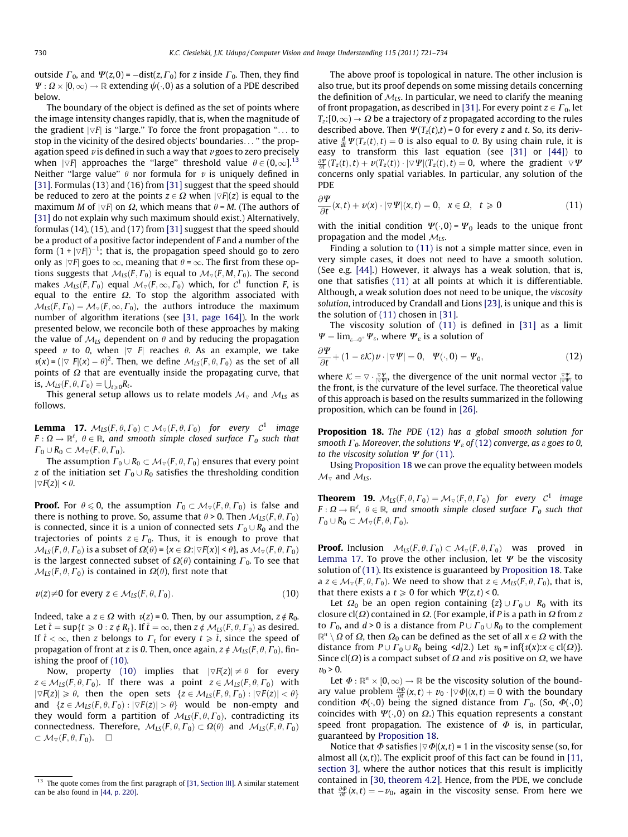<span id="page-9-0"></span>outside  $\Gamma_0$ , and  $\Psi(z, 0) = -dist(z, \Gamma_0)$  for z inside  $\Gamma_0$ . Then, they find  $\Psi: \Omega \times [0,\infty) \to \mathbb{R}$  extending  $\psi(\cdot,0)$  as a solution of a PDE described below.

The boundary of the object is defined as the set of points where the image intensity changes rapidly, that is, when the magnitude of the gradient  $|\nabla F|$  is "large." To force the front propagation "... to stop in the vicinity of the desired objects' boundaries... '' the propagation speed  $v$  is defined in such a way that  $v$  goes to zero precisely when  $|\nabla F|$  approaches the "large" threshold value  $\theta \in (0,\infty]$ .<sup>13</sup> Neither "large value"  $\theta$  nor formula for  $\nu$  is uniquely defined in [\[31\].](#page-13-0) Formulas (13) and (16) from [\[31\]](#page-13-0) suggest that the speed should be reduced to zero at the points  $z \in \Omega$  when  $|\nabla F(z)|$  is equal to the maximum *M* of  $|\nabla F|$  on  $\Omega$ , which means that  $\theta = M$ . (The authors of [\[31\]](#page-13-0) do not explain why such maximum should exist.) Alternatively, formulas (14), (15), and (17) from [\[31\]](#page-13-0) suggest that the speed should be a product of a positive factor independent of F and a number of the form  $(1+|\triangledown F|)^{-1}$ ; that is, the propagation speed should go to zero only as  $|\nabla F|$  goes to  $\infty$ , meaning that  $\theta = \infty$ . The first from these options suggests that  $M_{LS}(F, \Gamma_0)$  is equal to  $M_{\triangledown}(F, M, \Gamma_0)$ . The second makes  $\mathcal{M}_{LS}(F,\Gamma_0)$  equal  $\mathcal{M}_{\triangledown}(F,\infty,\Gamma_0)$  which, for  $\mathcal{C}^1$  function F, is equal to the entire  $\Omega$ . To stop the algorithm associated with  $M_{IS}(F,\Gamma_0) = M_{\overline{v}}(F,\infty,\Gamma_0)$ , the authors introduce the maximum number of algorithm iterations (see [\[31, page 164\]](#page-13-0)). In the work presented below, we reconcile both of these approaches by making the value of  $M_{IS}$  dependent on  $\theta$  and by reducing the propagation speed v to 0, when  $|\triangledown F|$  reaches  $\theta$ . As an example, we take  $v(x) = (|\nabla F|(x) - \theta)^2$ . Then, we define  $\mathcal{M}_{LS}(F, \theta, \Gamma_0)$  as the set of all points of  $\Omega$  that are eventually inside the propagating curve, that is,  $M_{LS}(F, \theta, \Gamma_0) = \bigcup_{t \geq 0} R_t$ .

This general setup allows us to relate models  $M_{\nabla}$  and  $M_{LS}$  as follows.

**Lemma 17.**  $M_{LS}(F, \theta, \Gamma_0) \subset M_{\nabla}(F, \theta, \Gamma_0)$  for every  $C^1$  image  $F:\Omega\to\mathbb{R}^\ell$ ,  $\theta\in\mathbb{R}$ , and smooth simple closed surface  $\mathit{\Gamma}_0$  such that  $\Gamma_0 \cup R_0 \subset \mathcal{M}_{\triangledown}(F, \theta, \Gamma_0).$ 

The assumption  $\Gamma_0 \cup R_0 \subset \mathcal{M}_{\nabla}(F, \theta, \Gamma_0)$  ensures that every point z of the initiation set  $\Gamma_0 \cup R_0$  satisfies the thresholding condition  $|\triangledown F(z)| < \theta$ .

**Proof.** For  $\theta \le 0$ , the assumption  $\Gamma_0 \subset \mathcal{M}_{\triangledown}(F, \theta, \Gamma_0)$  is false and there is nothing to prove. So, assume that  $\theta > 0$ . Then  $\mathcal{M}_{IS}(F, \theta, \Gamma_0)$ is connected, since it is a union of connected sets  $\Gamma_0 \cup R_0$  and the trajectories of points  $z \in \Gamma_0$ . Thus, it is enough to prove that  $M_{LS}(F, \theta, \Gamma_0)$  is a subset of  $\Omega(\theta) = \{x \in \Omega : |\nabla F(x)| \leq \theta\}$ , as  $\mathcal{M}_{\nabla}(F, \theta, \Gamma_0)$ is the largest connected subset of  $\Omega(\theta)$  containing  $\Gamma_0$ . To see that  $\mathcal{M}_{IS}(F, \theta, \Gamma_0)$  is contained in  $\Omega(\theta)$ , first note that

$$
v(z) \neq 0 \text{ for every } z \in \mathcal{M}_{LS}(F, \theta, \Gamma_0). \tag{10}
$$

Indeed, take a  $z \in \Omega$  with  $v(z) = 0$ . Then, by our assumption,  $z \notin R_0$ . Let  $\hat{t} = \sup\{t \ge 0 : z \notin R_t\}$ . If  $\hat{t} = \infty$ , then  $z \notin M_{LS}(F, \theta, \Gamma_0)$  as desired. If  $\hat{t} < \infty$ , then z belongs to  $\Gamma_t$  for every  $t \geq \hat{t}$ , since the speed of propagation of front at z is 0. Then, once again,  $z \notin \mathcal{M}_{IS}(F, \theta, \Gamma_0)$ , finishing the proof of (10).

Now, property (10) implies that  $|\nabla F(z)| \neq \theta$  for every  $z \in M_{LS}(F, \theta, \Gamma_0)$ . If there was a point  $z \in M_{LS}(F, \theta, \Gamma_0)$  with  $|\nabla F(z)| \ge \theta$ , then the open sets  $\{z \in \mathcal{M}_{LS}(F, \theta, \Gamma_0) : |\nabla F(z)| < \theta\}$ and  $\{z \in M_{LS}(F, \theta, \Gamma_0) : |\nabla F(z)| > \theta\}$  would be non-empty and they would form a partition of  $M_{LS}(F, \theta, \Gamma_0)$ , contradicting its connectedness. Therefore,  $M_{IS}(F, \theta, \Gamma_0) \subset \Omega(\theta)$  and  $M_{IS}(F, \theta, \Gamma_0)$  $\subset \mathcal{M}_{\triangledown}(F, \theta, \Gamma_0)$ .  $\Box$ 

The above proof is topological in nature. The other inclusion is also true, but its proof depends on some missing details concerning the definition of  $M_{IS}$ . In particular, we need to clarify the meaning of front propagation, as described in [\[31\].](#page-13-0) For every point  $z \in \Gamma_0$ , let  $T_z$ :[0, $\infty$ ]  $\rightarrow \Omega$  be a trajectory of *z* propagated according to the rules described above. Then  $\Psi(T_z(t),t) = 0$  for every z and t. So, its derivative  $\frac{d}{dt} \Psi(T_z(t), t) = 0$  is also equal to 0. By using chain rule, it is easy to transform this last equation (see [\[31\]](#page-13-0) or [\[44\]\)](#page-13-0) to  $\frac{\partial \Psi}{\partial t}(T_z(t),t) + \nu(T_z(t)) \cdot |\nabla \Psi|(T_z(t),t) = 0$ , where the gradient  $\nabla \Psi$ concerns only spatial variables. In particular, any solution of the PDE

$$
\frac{\partial \Psi}{\partial t}(x,t) + v(x) \cdot |\nabla \Psi|(x,t) = 0, \quad x \in \Omega, \quad t \geq 0 \tag{11}
$$

with the initial condition  $\Psi(\cdot, 0) = \Psi_0$  leads to the unique front propagation and the model  $M_{LS}$ .

Finding a solution to (11) is not a simple matter since, even in very simple cases, it does not need to have a smooth solution. (See e.g. [\[44\]](#page-13-0).) However, it always has a weak solution, that is, one that satisfies (11) at all points at which it is differentiable. Although, a weak solution does not need to be unique, the viscosity solution, introduced by Crandall and Lions [\[23\],](#page-13-0) is unique and this is the solution of (11) chosen in [\[31\].](#page-13-0)

The viscosity solution of (11) is defined in [\[31\]](#page-13-0) as a limit  $\Psi = \lim_{\varepsilon \to 0^+} \Psi_{\varepsilon}$ , where  $\Psi_{\varepsilon}$  is a solution of

$$
\frac{\partial \Psi}{\partial t} + (1 - \varepsilon \mathcal{K}) \nu \cdot |\nabla \Psi| = 0, \quad \Psi(\cdot, 0) = \Psi_0,
$$
\n(12)

where  $K = \nabla \cdot \frac{\nabla \Psi}{|\nabla \Psi|}$ , the divergence of the unit normal vector  $\frac{\nabla \Psi}{|\nabla \Psi|}$  to the front, is the curvature of the level surface. The theoretical value of this approach is based on the results summarized in the following proposition, which can be found in [\[26\]](#page-13-0).

Proposition 18. The PDE (12) has a global smooth solution for smooth  $\Gamma_0$ . Moreover, the solutions  $\Psi_{\varepsilon}$  of (12) converge, as  $\varepsilon$  goes to 0, to the viscosity solution  $\Psi$  for (11).

Using Proposition 18 we can prove the equality between models  $\mathcal{M}_{\triangledown}$  and  $\mathcal{M}_{IS}$ .

**Theorem 19.**  $M_{LS}(F, \theta, \Gamma_0) = M_{\triangledown}(F, \theta, \Gamma_0)$  for every  $C^1$  image  $F: \Omega \to \mathbb{R}^{\ell}$ ,  $\theta \in \mathbb{R}$ , and smooth simple closed surface  $\Gamma_0$  such that  $\Gamma_0 \cup R_0 \subset \mathcal{M}_{\triangledown}(F, \theta, \Gamma_0).$ 

**Proof.** Inclusion  $M_{LS}(F, \theta, \Gamma_0) \subset M_{\nabla}(F, \theta, \Gamma_0)$  was proved in Lemma 17. To prove the other inclusion, let  $\Psi$  be the viscosity solution of (11). Its existence is guaranteed by Proposition 18. Take a  $z \in \mathcal{M}_{\nabla}(F, \theta, \Gamma_0)$ . We need to show that  $z \in \mathcal{M}_{LS}(F, \theta, \Gamma_0)$ , that is, that there exists a  $t \geq 0$  for which  $\Psi(z,t) < 0$ .

Let  $\Omega_0$  be an open region containing  $\{z\} \cup \Gamma_0 \cup R_0$  with its closure cl( $\Omega$ ) contained in  $\Omega$ . (For example, if P is a path in  $\Omega$  from z to  $\Gamma_0$ , and  $d > 0$  is a distance from  $P \cup \Gamma_0 \cup R_0$  to the complement  $\mathbb{R}^n \setminus \Omega$  of  $\Omega$ , then  $\Omega_0$  can be defined as the set of all  $x \in \Omega$  with the distance from  $P \cup \Gamma_0 \cup R_0$  being <d/2.) Let  $v_0 = \inf \{v(x): x \in cl(\Omega)\}.$ Since cl( $\Omega$ ) is a compact subset of  $\Omega$  and v is positive on  $\Omega$ , we have  $v_0 > 0$ .

Let  $\Phi : \mathbb{R}^n \times [0, \infty) \to \mathbb{R}$  be the viscosity solution of the boundary value problem  $\frac{\partial \Phi}{\partial t}(x,t) + v_0 \cdot |\nabla \Phi|(x,t) = 0$  with the boundary condition  $\Phi(\cdot, 0)$  being the signed distance from  $\Gamma_0$ . (So,  $\Phi(\cdot, 0)$ ) coincides with  $\Psi(\cdot, 0)$  on  $\Omega$ .) This equation represents a constant speed front propagation. The existence of  $\Phi$  is, in particular, guaranteed by Proposition 18.

Notice that  $\Phi$  satisfies  $|\nabla \Phi|(x,t) = 1$  in the viscosity sense (so, for almost all  $(x,t)$ ). The explicit proof of this fact can be found in [\[11,](#page-13-0) [section 3\],](#page-13-0) where the author notices that this result is implicitly contained in [\[30, theorem 4.2\]](#page-13-0). Hence, from the PDE, we conclude that  $\frac{\partial \Phi}{\partial t}(x,t) = -v_0$ , again in the viscosity sense. From here we

<sup>&</sup>lt;sup>13</sup> The quote comes from the first paragraph of [\[31, Section III\]](#page-13-0). A similar statement can be also found in [\[44, p. 220\].](#page-13-0)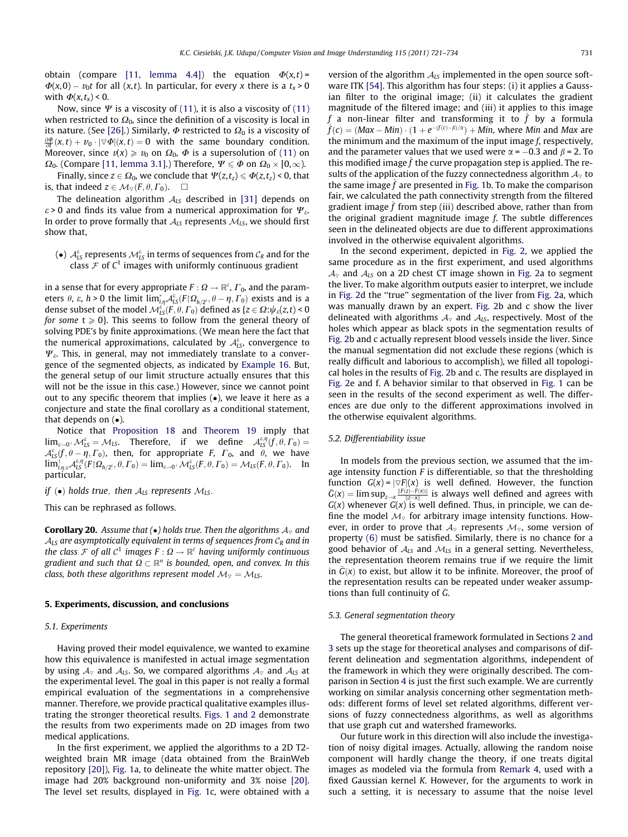<span id="page-10-0"></span>obtain (compare [\[11, lemma 4.4\]\)](#page-13-0) the equation  $\Phi(x,t)$  =  $\Phi(x, 0) - v_0t$  for all  $(x, t)$ . In particular, for every x there is a  $t_x > 0$ with  $\Phi(x,t_x)$  < 0.

Now, since  $\Psi$  is a viscosity of [\(11\)](#page-9-0), it is also a viscosity of (11) when restricted to  $\Omega_0$ , since the definition of a viscosity is local in its nature. (See [\[26\].](#page-13-0)) Similarly,  $\Phi$  restricted to  $\Omega_0$  is a viscosity of  $\frac{\partial \Phi}{\partial t}(x,t) + v_0 \cdot |\nabla \Phi|(x,t) = 0$  with the same boundary condition. Moreover, since  $v(x) \geq v_0$  on  $\Omega_0$ ,  $\Phi$  is a supersolution of [\(11\)](#page-9-0) on  $\Omega_0$ . (Compare [\[11, lemma 3.1\]](#page-13-0).) Therefore,  $\Psi\leqslant\Phi$  on  $\Omega_0\times[0,\infty).$ 

Finally, since  $z \in \Omega_0$ , we conclude that  $\Psi(z,t_z) \le \Phi(z,t_z) \le 0$ , that is, that indeed  $z \in \mathcal{M}_{\nabla}(F, \theta, \Gamma_0)$ .  $\Box$ 

The delineation algorithm  $A<sub>LS</sub>$  described in [\[31\]](#page-13-0) depends on  $\varepsilon > 0$  and finds its value from a numerical approximation for  $\Psi_{\varepsilon}$ . In order to prove formally that  $A_{LS}$  represents  $M_{LS}$ , we should first show that,

 $\left(\bullet\right)$   $\mathcal{A}_{\scriptscriptstyle\! L\!S}^{\scriptscriptstyle\mathcal{E}}$  represents  $\mathcal{M}_{\scriptscriptstyle\! L\!S}^{\scriptscriptstyle\mathcal{E}}$  in terms of sequences from  $\mathcal{C}_{\scriptscriptstyle\! R}$  and for the class  $\mathcal F$  of  $C^1$  images with uniformly continuous gradient

in a sense that for every appropriate  $F:\varOmega\to{\mathbb R}^\ell$ ,  $\varGamma_0$ , and the parameters  $\theta$ ,  $\varepsilon$ ,  $h > 0$  the limit  $\lim_{i,\eta}^* A_{LS}^{\varepsilon}(F \cap \Omega_{h/2^i}, \theta - \eta, \Gamma_0)$  exists and is a dense subset of the model  $\mathcal{M}_{LS}^{\vec{\epsilon}}(F,\theta,\Gamma_0)$  defined as  $\{z \in \Omega : \psi_{\epsilon}(z,t) \leq 0\}$ for some  $t \ge 0$ . This seems to follow from the general theory of solving PDE's by finite approximations. (We mean here the fact that the numerical approximations, calculated by  $\mathcal{A}_{LS}^{\varepsilon}$ , convergence to  $\Psi_{\varepsilon}$ . This, in general, may not immediately translate to a convergence of the segmented objects, as indicated by [Example 16.](#page-8-0) But, the general setup of our limit structure actually ensures that this will not be the issue in this case.) However, since we cannot point out to any specific theorem that implies  $(\bullet)$ , we leave it here as a conjecture and state the final corollary as a conditional statement, that depends on  $(\bullet)$ .

Notice that [Proposition 18](#page-9-0) and [Theorem 19](#page-9-0) imply that  $\lim_{\varepsilon \to 0^+} \mathcal{M}_{LS}^{\varepsilon} = \mathcal{M}_{LS}$ . Therefore, if we define  $\mathcal{A}_{LS}^{\varepsilon,\eta}(f, \theta, \Gamma_0) =$  $\mathcal{A}^{\varepsilon}_{\mathcal{LS}}(f,\theta-\eta,\Gamma_0)$ , then, for appropriate F,  $\Gamma_0$ , and  $\tilde{\theta}$ , we have  $\lim_{\tilde{l},\eta,\varepsilon}\tilde{\mathcal{A}}_{\mathrm{LS}}^{\varepsilon,\eta}(F|\Omega_{h/2^i},\theta,\Gamma_0)=\lim_{\varepsilon\to 0^+}\tilde{\mathcal{M}}_{\mathrm{LS}}^\varepsilon(F,\theta,\Gamma_0)=\mathcal{M}_{\mathrm{LS}}(F,\theta,\Gamma_0). \quad \text{In}$ particular,

if  $\Theta$  holds true, then  $A_{LS}$  represents  $M_{LS}$ .

This can be rephrased as follows.

**Corollary 20.** Assume that ( $\bullet$ ) holds true. Then the algorithms  $A_{\triangledown}$  and  $A_{LS}$  are asymptotically equivalent in terms of sequences from  $C_R$  and in the class F of all C<sup>1</sup> images  $F : \Omega \to \mathbb{R}^{\ell}$  having uniformly continuous gradient and such that  $\Omega \subset \mathbb{R}^n$  is bounded, open, and convex. In this class, both these algorithms represent model  $M_{\nabla} = M_{LS}$ .

## 5. Experiments, discussion, and conclusions

#### 5.1. Experiments

Having proved their model equivalence, we wanted to examine how this equivalence is manifested in actual image segmentation by using  $A_{\triangledown}$  and  $A_{LS}$ . So, we compared algorithms  $A_{\triangledown}$  and  $A_{LS}$  at the experimental level. The goal in this paper is not really a formal empirical evaluation of the segmentations in a comprehensive manner. Therefore, we provide practical qualitative examples illustrating the stronger theoretical results. [Figs. 1 and 2](#page-11-0) demonstrate the results from two experiments made on 2D images from two medical applications.

In the first experiment, we applied the algorithms to a 2D T2 weighted brain MR image (data obtained from the BrainWeb repository [\[20\]](#page-13-0)), [Fig. 1](#page-11-0)a, to delineate the white matter object. The image had 20% background non-uniformity and 3% noise [\[20\].](#page-13-0) The level set results, displayed in [Fig. 1](#page-11-0)c, were obtained with a

version of the algorithm  $A<sub>l</sub>$  implemented in the open source software ITK [\[54\].](#page-13-0) This algorithm has four steps: (i) it applies a Gaussian filter to the original image; (ii) it calculates the gradient magnitude of the filtered image; and (iii) it applies to this image f a non-linear filter and transforming it to  $\hat{f}$  by a formula  $\hat{f}(c) = (Max - Min) \cdot (1 + e^{-(f(c)-\beta)/\alpha}) + Min$ , where Min and Max are the minimum and the maximum of the input image  $f$ , respectively, and the parameter values that we used were  $\alpha$  = -0.3 and  $\beta$  = 2. To this modified image  $\hat{f}$  the curve propagation step is applied. The results of the application of the fuzzy connectedness algorithm  $A_{\triangledown}$  to the same image  $\hat{f}$  are presented in [Fig. 1](#page-11-0)b. To make the comparison fair, we calculated the path connectivity strength from the filtered gradient image  $\hat{f}$  from step (iii) described above, rather than from the original gradient magnitude image f. The subtle differences seen in the delineated objects are due to different approximations involved in the otherwise equivalent algorithms.

In the second experiment, depicted in [Fig. 2](#page-11-0), we applied the same procedure as in the first experiment, and used algorithms  $A_{\triangledown}$  and  $A_{LS}$  on a 2D chest CT image shown in [Fig. 2](#page-11-0)a to segment the liver. To make algorithm outputs easier to interpret, we include in [Fig. 2](#page-11-0)d the ''true'' segmentation of the liver from [Fig. 2a](#page-11-0), which was manually drawn by an expert. [Fig. 2](#page-11-0)b and c show the liver delineated with algorithms  $A_{\nabla}$  and  $A_{IS}$ , respectively. Most of the holes which appear as black spots in the segmentation results of [Fig. 2](#page-11-0)b and c actually represent blood vessels inside the liver. Since the manual segmentation did not exclude these regions (which is really difficult and laborious to accomplish), we filled all topological holes in the results of [Fig. 2b](#page-11-0) and c. The results are displayed in [Fig. 2](#page-11-0)e and f. A behavior similar to that observed in [Fig. 1](#page-11-0) can be seen in the results of the second experiment as well. The differences are due only to the different approximations involved in the otherwise equivalent algorithms.

# 5.2. Differentiability issue

In models from the previous section, we assumed that the image intensity function  $F$  is differentiable, so that the thresholding function  $G(x) = |\nabla F|(x)$  is well defined. However, the function  $\bar{G}(x) = \limsup_{z \to x} \frac{\|F(z) - F(x)\|}{\|z - x\|}$  is always well defined and agrees with  $G(x)$  whenever  $G(x)$  is well defined. Thus, in principle, we can define the model  $M_{\nabla}$  for arbitrary image intensity functions. However, in order to prove that  $A_{\nabla}$  represents  $M_{\nabla}$ , some version of property [\(6\)](#page-7-0) must be satisfied. Similarly, there is no chance for a good behavior of  $A_{LS}$  and  $M_{IS}$  in a general setting. Nevertheless, the representation theorem remains true if we require the limit in  $\bar{G}(x)$  to exist, but allow it to be infinite. Moreover, the proof of the representation results can be repeated under weaker assumptions than full continuity of G-.

### 5.3. General segmentation theory

The general theoretical framework formulated in Sections [2 and](#page-2-0) [3](#page-2-0) sets up the stage for theoretical analyses and comparisons of different delineation and segmentation algorithms, independent of the framework in which they were originally described. The comparison in Section [4](#page-5-0) is just the first such example. We are currently working on similar analysis concerning other segmentation methods: different forms of level set related algorithms, different versions of fuzzy connectedness algorithms, as well as algorithms that use graph cut and watershed frameworks.

Our future work in this direction will also include the investigation of noisy digital images. Actually, allowing the random noise component will hardly change the theory, if one treats digital images as modeled via the formula from [Remark 4](#page-2-0), used with a fixed Gaussian kernel K. However, for the arguments to work in such a setting, it is necessary to assume that the noise level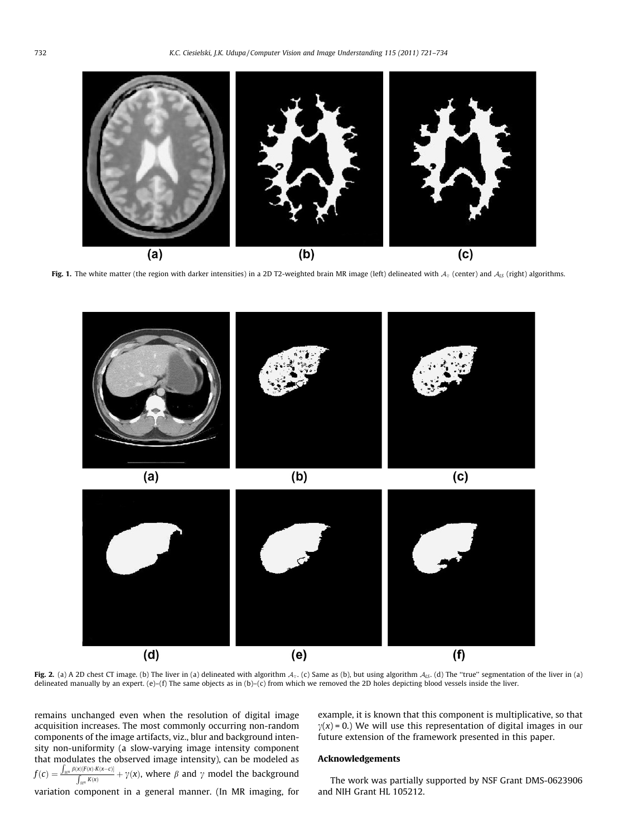<span id="page-11-0"></span>

Fig. 1. The white matter (the region with darker intensities) in a 2D T2-weighted brain MR image (left) delineated with  $A<sub>v</sub>$  (center) and  $A<sub>LS</sub>$  (right) algorithms.



Fig. 2. (a) A 2D chest CT image. (b) The liver in (a) delineated with algorithm  $A_v$ . (c) Same as (b), but using algorithm  $A_{LS}$ . (d) The "true" segmentation of the liver in (a) delineated manually by an expert. (e)–(f) The same objects as in (b)–(c) from which we removed the 2D holes depicting blood vessels inside the liver.

remains unchanged even when the resolution of digital image acquisition increases. The most commonly occurring non-random components of the image artifacts, viz., blur and background intensity non-uniformity (a slow-varying image intensity component that modulates the observed image intensity), can be modeled as  $f(c) =$ boddates the boserved mage intensity), can be modeled as<br> $\int_{\mathbb{R}^n} \frac{\beta(x)[F(x)\cdot K(x-c)]}{\int_{\mathbb{R}^n} K(x)} + \gamma(x)$ , where  $\beta$  and  $\gamma$  model the background

example, it is known that this component is multiplicative, so that  $\gamma(x)$  = 0.) We will use this representation of digital images in our future extension of the framework presented in this paper.

### Acknowledgements

The work was partially supported by NSF Grant DMS-0623906 and NIH Grant HL 105212.

variation component in a general manner. (In MR imaging, for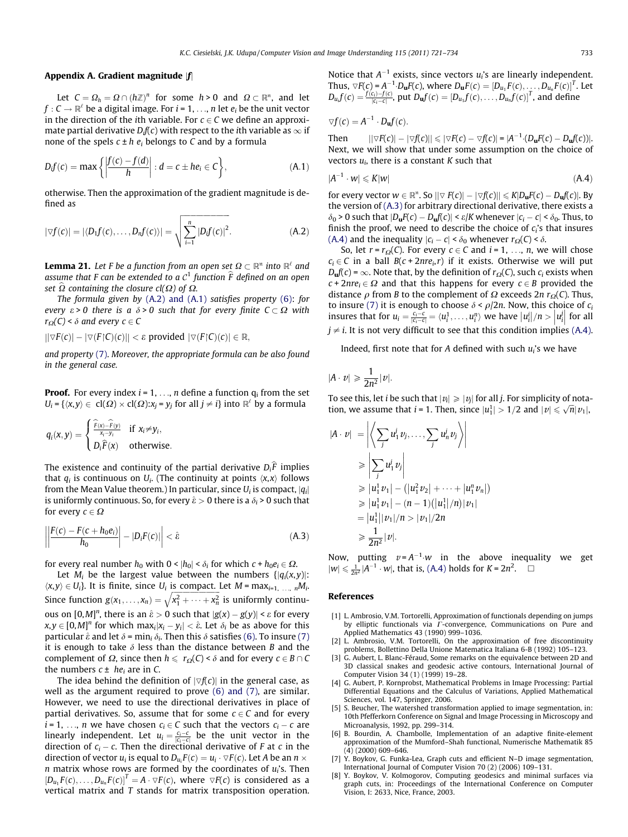## <span id="page-12-0"></span>Appendix A. Gradient magnitude  $|f|$

Let  $C = \Omega_h = \Omega \cap (h \mathbb{Z})^n$  for some  $h > 0$  and  $\Omega \subset \mathbb{R}^n$ , and let  $f: \mathcal{C} \to \mathbb{R}^{\ell}$  be a digital image. For  $i = 1, \ldots, n$  let  $e_i$  be the unit vector in the direction of the *i*th variable. For  $c \in C$  we define an approximate partial derivative  $D_i f(c)$  with respect to the *i*th variable as  $\infty$  if none of the spels  $c \pm h$   $e_i$  belongs to C and by a formula

$$
D_{i}f(c) = \max \left\{ \left| \frac{f(c) - f(d)}{h} \right| : d = c \pm h e_{i} \in C \right\},
$$
\n(A.1)

otherwise. Then the approximation of the gradient magnitude is defined as

$$
|\triangledown f(c)| = |\langle D_1 f(c), \ldots, D_n f(c)\rangle| = \sqrt{\sum_{i=1}^n |D_i f(c)|^2}.
$$
 (A.2)

**Lemma 21.** Let F be a function from an open set  $\Omega \subset \mathbb{R}^n$  into  $\mathbb{R}^{\ell}$  and assume that F can be extended to a  $C^1$  function  $\widehat{F}$  defined on an open set  $\Omega$  containing the closure cl( $\Omega$ ) of  $\Omega$ .

The formula given by (A.2) and (A.1) satisfies property [\(6\):](#page-7-0) for every  $\varepsilon > 0$  there is a  $\delta > 0$  such that for every finite  $C \subset \Omega$  with  $r_{\Omega}(C)$  <  $\delta$  and every  $c \in C$ 

 $\vert \vert \triangledown F(c) \vert - \vert \triangledown(F \vert C)(c) \vert \vert < \varepsilon$  provided  $\vert \triangledown(F \vert C)(c) \vert \in \mathbb{R},$ 

and property [\(7\).](#page-7-0) Moreover, the appropriate formula can be also found in the general case.

**Proof.** For every index  $i = 1, \ldots, n$  define a function  $q_i$  from the set  $U_i = \{ \langle x, y \rangle \in \text{cl}(\Omega) \times \text{cl}(\Omega) : x_j = y_j \text{ for all } j \neq i \} \text{ into } \mathbb{R}^{\ell} \text{ by a formula}$ 

$$
q_i(x,y) = \begin{cases} \frac{\widehat{F}(x) - \widehat{F}(y)}{x_i - y_i} & \text{if } x_i \neq y_i, \\ D_i \widehat{F}(x) & \text{otherwise.} \end{cases}
$$

The existence and continuity of the partial derivative  $D_i \bar{F}$  implies that  $q_i$  is continuous on  $U_i$ . (The continuity at points  $\langle x, x \rangle$  follows from the Mean Value theorem.) In particular, since  $U_i$  is compact,  $|q_i|$ is uniformly continuous. So, for every  $\hat{\epsilon} > 0$  there is a  $\delta_i$  > 0 such that for every  $c \in \Omega$ 

$$
\left| \left| \frac{F(c) - F(c + h_0 e_i)}{h_0} \right| - |D_i F(c)| \right| < \hat{\varepsilon} \tag{A.3}
$$

for every real number  $h_0$  with  $0 < |h_0| < \delta_i$  for which  $c + h_0 e_i \in \Omega$ .

Let  $M_i$  be the largest value between the numbers  $\{ |q_i(x,y)| :$  $\langle x,y \rangle \in U_i$ . It is finite, since  $U_i$  is compact. Let  $M = \max_{i=1, ..., n} M_i$ . Since function  $g(x_1,...,x_n) = \sqrt{x_1^2 + \cdots + x_n^2}$  $\sqrt{x_1^2 + \cdots + x_n^2}$  is uniformly continuous on  $[0,M]^n$ , there is an  $\hat{\epsilon} > 0$  such that  $|g(x) - g(y)| < \varepsilon$  for every  $x, y \in [0,M]^n$  for which max<sub>i</sub> $|x_i - y_i| < \hat{\varepsilon}$ . Let  $\delta_i$  be as above for this particular  $\hat{\varepsilon}$  and let  $\delta$  = min<sub>i</sub>  $\delta_i$ . Then this  $\delta$  satisfies [\(6\)](#page-7-0). To insure [\(7\)](#page-7-0) it is enough to take  $\delta$  less than the distance between B and the complement of  $\Omega$ , since then  $h \leq r_{\Omega}(C) < \delta$  and for every  $c \in B \cap C$ the numbers  $c \pm he_i$  are in C.

The idea behind the definition of  $|\nabla f(c)|$  in the general case, as well as the argument required to prove [\(6\) and \(7\),](#page-7-0) are similar. However, we need to use the directional derivatives in place of partial derivatives. So, assume that for some  $c \in C$  and for every  $i = 1, \ldots, n$  we have chosen  $c_i \in C$  such that the vectors  $c_i - c$  are linearly independent. Let  $u_i = \frac{c_i - c}{|c_i - c|}$  be the unit vector in the direction of  $c_i - c$ . Then the directional derivative of F at c in the direction of vector  $u_i$  is equal to  $D_{u_i}F(c) = u_i \cdot \nabla F(c)$ . Let A be an  $n \times$ *n* matrix whose rows are formed by the coordinates of  $u_i$ 's. Then  $[D_{u_1}F(c), \ldots, D_{u_n}F(c)]^T = A \cdot \nabla F(c)$ , where  $\nabla F(c)$  is considered as a vertical matrix and T stands for matrix transposition operation. Notice that  $A^{-1}$  exists, since vectors u<sub>i</sub>'s are linearly independent. Thus,  $\nabla F(c) = A^{-1} \cdot D_{\mathbf{u}} F(c)$ , where  $D_{\mathbf{u}} F(c) = [D_{u_1} F(c), \ldots, D_{u_n} F(c)]^T$ . Let  $D_{u_i}f(c)=\frac{f(c_i)-f(c)}{|c_i-c|}$ , put  $D_{\mathbf{u}}f(c)=[D_{u_1}f(c),\ldots,D_{u_n}f(c)]^T$ , and define

$$
\nabla f(c) = A^{-1} \cdot D_{\mathbf{u}} f(c).
$$

Then  $||\triangledown F(c)| - |\triangledown f(c)|| \le |\triangledown F(c) - \triangledown f(c)| = |A^{-1} \cdot (D_{\mathbf{u}}F(c) - D_{\mathbf{u}}f(c))|$ . Next, we will show that under some assumption on the choice of vectors  $u_i$ , there is a constant K such that

$$
|A^{-1} \cdot w| \leqslant K|w| \tag{A.4}
$$

for every vector  $w \in \mathbb{R}^n$ . So  $||\nabla F(c)| - |\nabla f(c)|| \leqslant K|D_{\mathbf{u}}F(c) - D_{\mathbf{u}}f(c)|$ . By the version of (A.3) for arbitrary directional derivative, there exists a  $\delta_0$  > 0 such that  $|D_{\mathbf{u}}F(c) - D_{\mathbf{u}}f(c)| \leq \varepsilon/K$  whenever  $|c_i - c| \leq \delta_0$ . Thus, to finish the proof, we need to describe the choice of  $c_i$ 's that insures (A.4) and the inequality  $|c_i - c| < \delta_0$  whenever  $r_{\Omega}(C) < \delta$ .

So, let  $r = r<sub>\Omega</sub>(C)$ . For every  $c \in C$  and  $i = 1, \ldots, n$ , we will chose  $c_i \in C$  in a ball  $B(c + 2nre_i, r)$  if it exists. Otherwise we will put  $D_{\mathbf{u}}f(c) = \infty$ . Note that, by the definition of  $r_{\Omega}(C)$ , such  $c_i$  exists when  $c + 2nre_i \in \Omega$  and that this happens for every  $c \in B$  provided the distance  $\rho$  from B to the complement of  $\Omega$  exceeds  $2n r<sub>\Omega</sub>(C)$ . Thus, to insure [\(7\)](#page-7-0) it is enough to choose  $\delta < \rho/2n$ . Now, this choice of c insures that for  $u_i = \frac{c_i-c}{|c_i-c|} = \langle u_i^1, \ldots, u_i^n \rangle$  we have  $|u_i^i|/n > |u_i^j|$  for all  $j \neq i$ . It is not very difficult to see that this condition implies (A.4).

Indeed, first note that for  $A$  defined with such  $u_i$ 's we have

$$
|A\cdot v|\geqslant \frac{1}{2n^2} |v|.
$$

To see this, let *i* be such that  $|v_i| \ge |v_j|$  for all *j*. For simplicity of notation, we assume that  $i = 1$ . Then, since  $|u_1^1| > 1/2$  and  $|v| \le \sqrt{n}|v_1|$ ,

$$
|A \cdot v| = \left| \left\langle \sum_{j} u_{1}^{j} v_{j}, \dots, \sum_{j} u_{n}^{j} v_{j} \right\rangle \right|
$$
  
\n
$$
\geq \left| \sum_{j} u_{1}^{j} v_{j} \right|
$$
  
\n
$$
\geq |u_{1}^{1} v_{1}| - (|u_{1}^{2} v_{2}| + \dots + |u_{1}^{n} v_{n}|)
$$
  
\n
$$
\geq |u_{1}^{1} v_{1}| - (n - 1)(|u_{1}^{1}|/n)|v_{1}|
$$
  
\n
$$
= |u_{1}^{1}| |v_{1}|/n > |v_{1}|/2n
$$
  
\n
$$
\geq \frac{1}{2n^{2}} |v|.
$$

Now, putting  $v = A^{-1} \cdot w$  in the above inequality we get  $|w| \leq \frac{1}{2n^2} |A^{-1} \cdot w|$ , that is, (A.4) holds for  $K = 2n^2$ .  $\Box$ 

#### References

- [1] L. Ambrosio, V.M. Tortorelli, Approximation of functionals depending on jumps by elliptic functionals via  $\Gamma$ -convergence, Communications on Pure and Applied Mathematics 43 (1990) 999–1036.
- [2] L. Ambrosio, V.M. Tortorelli, On the approximation of free discontinuity problems, Bollettino Della Unione Matematica Italiana 6-B (1992) 105–123.
- G. Aubert, L. Blanc-Féraud, Some remarks on the equivalence between 2D and 3D classical snakes and geodesic active contours, International Journal of Computer Vision 34 (1) (1999) 19–28.
- [4] G. Aubert, P. Kornprobst, Mathematical Problems in Image Processing: Partial Differential Equations and the Calculus of Variations, Applied Mathematical Sciences, vol. 147, Springer, 2006.
- [5] S. Beucher, The watershed transformation applied to image segmentation, in: 10th Pfefferkorn Conference on Signal and Image Processing in Microscopy and Microanalysis, 1992, pp. 299–314.
- [6] B. Bourdin, A. Chambolle, Implementation of an adaptive finite-element approximation of the Mumford–Shah functional, Numerische Mathematik 85 (4) (2000) 609–646.
- [7] Y. Boykov, G. Funka-Lea, Graph cuts and efficient N–D image segmentation, International Journal of Computer Vision 70 (2) (2006) 109–131.
- [8] Y. Boykov, V. Kolmogorov, Computing geodesics and minimal surfaces via graph cuts, in: Proceedings of the International Conference on Computer Vision, I: 2633, Nice, France, 2003.